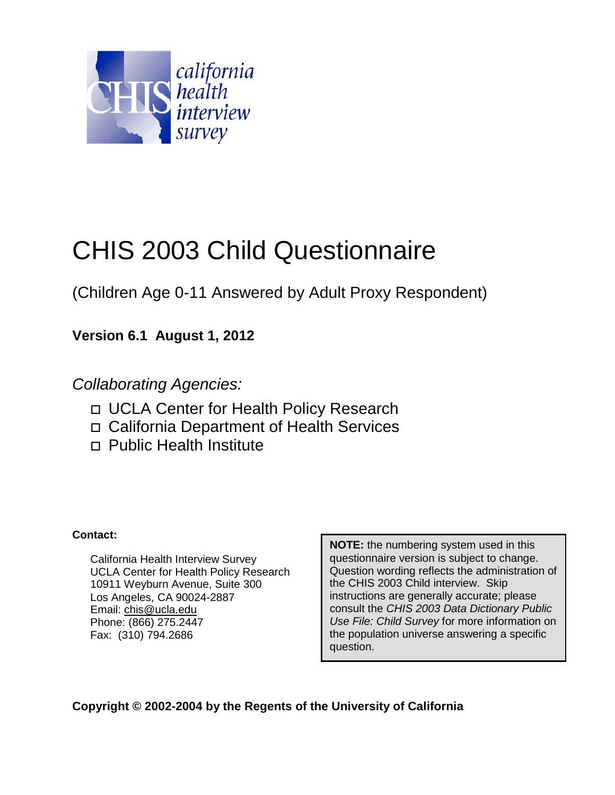

## CHIS 2003 Child Questionnaire

(Children Age 0-11 Answered by Adult Proxy Respondent)

**Version 6.1 August 1, 2012**

*Collaborating Agencies:*

- □ UCLA Center for Health Policy Research
- California Department of Health Services
- □ Public Health Institute

### **Contact:**

California Health Interview Survey UCLA Center for Health Policy Research 10911 Weyburn Avenue, Suite 300 Los Angeles, CA 90024-2887 Email: chis@ucla.edu Phone: (866) 275.2447 Fax: (310) 794.2686

**NOTE:** the numbering system used in this questionnaire version is subject to change. Question wording reflects the administration of the CHIS 2003 Child interview. Skip instructions are generally accurate; please consult the *CHIS 2003 Data Dictionary Public Use File: Child Survey* for more information on the population universe answering a specific question.

**Copyright © 2002-2004 by the Regents of the University of California**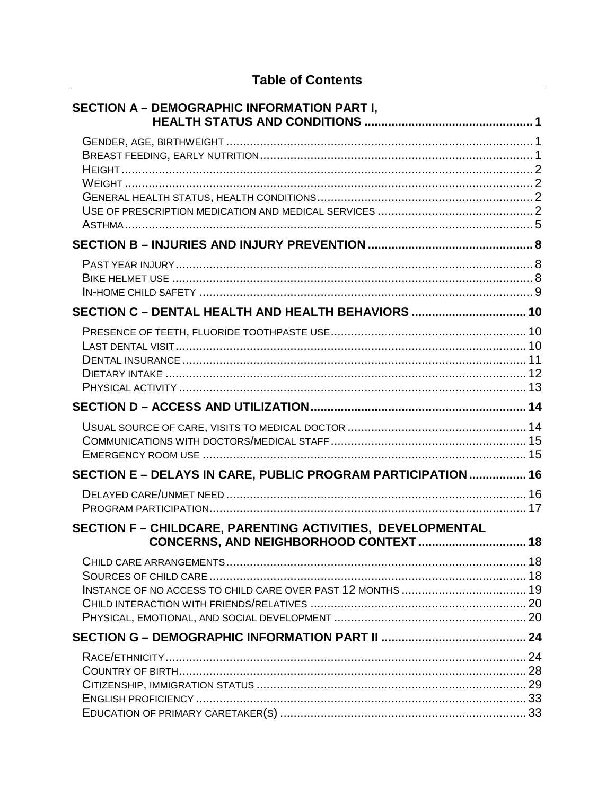| <b>SECTION A - DEMOGRAPHIC INFORMATION PART I,</b>                                                   |  |
|------------------------------------------------------------------------------------------------------|--|
|                                                                                                      |  |
|                                                                                                      |  |
|                                                                                                      |  |
| SECTION C - DENTAL HEALTH AND HEALTH BEHAVIORS  10                                                   |  |
|                                                                                                      |  |
|                                                                                                      |  |
|                                                                                                      |  |
| SECTION E - DELAYS IN CARE, PUBLIC PROGRAM PARTICIPATION  16                                         |  |
|                                                                                                      |  |
| SECTION F - CHILDCARE, PARENTING ACTIVITIES, DEVELOPMENTAL<br>CONCERNS, AND NEIGHBORHOOD CONTEXT  18 |  |
|                                                                                                      |  |
|                                                                                                      |  |
|                                                                                                      |  |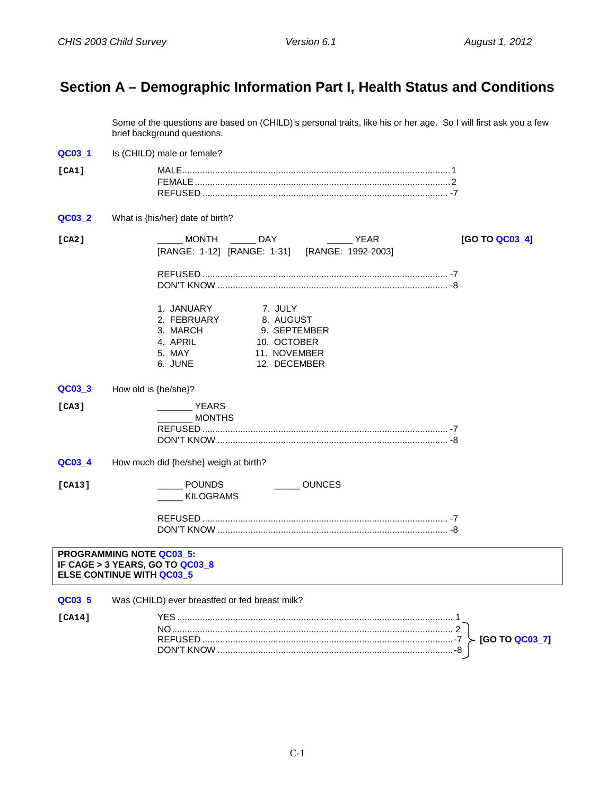## <span id="page-2-0"></span>**Section A – Demographic Information Part I, Health Status and Conditions**

Some of the questions are based on (CHILD)'s personal traits, like his or her age. So I will first ask you a few brief background questions.

<span id="page-2-1"></span>**QC03 1** Is (CHILD) male or female? **[CA1]** MALE..........................................................................................................1 FEMALE.....................................................................................................2 REFUSED ................................................................................................. -7 **QC03\_2** What is {his/her} date of birth? **[CA2]** \_\_\_\_\_ MONTH \_\_\_\_\_ DAY \_\_\_\_\_ YEAR **[GO TO QC03\_4]** [RANGE: 1-12] [RANGE: 1-31] [RANGE: 1992-2003] REFUSED ................................................................................................. -7 DON'T KNOW ........................................................................................... -8 1. JANUARY 7. JULY 2. FEBRUARY 3. MARCH 9. SEPTEMBER<br>4. APRIL 10. OCTOBER 4. APRIL 10. OCTOBER<br>5. MAY 11. NOVEMBER 5. MAY 11. NOVEMBER 12. DECEMBER **QC03\_3** How old is {he/she}? **[CA3]** \_\_\_\_\_\_\_ YEARS \_\_\_\_\_\_\_ MONTHS REFUSED ................................................................................................. -7 DON'T KNOW ........................................................................................... -8 **QC03\_4** How much did {he/she} weigh at birth? **[CA13]** \_\_\_\_\_ POUNDS \_\_\_\_\_ OUNCES \_\_\_\_\_ KILOGRAMS REFUSED ................................................................................................. -7 DON'T KNOW ........................................................................................... -8 **PROGRAMMING NOTE QC03\_5: IF CAGE > 3 YEARS, GO TO QC03\_8 ELSE CONTINUE WITH QC03\_5**

<span id="page-2-2"></span>**QC03\_5** Was (CHILD) ever breastfed or fed breast milk? **[CA14]** YES ............................................................................................................. 1 NO............................................................................................................... 2 REFUSED ...................................................................................................-7 **[GO TO QC03\_7]** DON'T KNOW .............................................................................................-8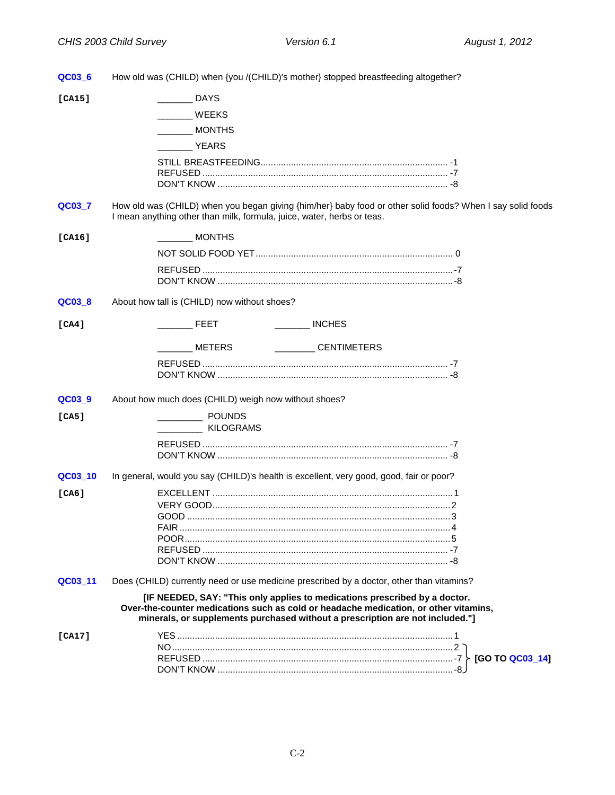<span id="page-3-3"></span><span id="page-3-2"></span><span id="page-3-1"></span><span id="page-3-0"></span>

| QC03 6  | How old was (CHILD) when {you /(CHILD)'s mother} stopped breastfeeding altogether?                                                                                                                                                                  |
|---------|-----------------------------------------------------------------------------------------------------------------------------------------------------------------------------------------------------------------------------------------------------|
| [CA15]  | <b>DAYS</b>                                                                                                                                                                                                                                         |
|         | WEEKS                                                                                                                                                                                                                                               |
|         | MONTHS                                                                                                                                                                                                                                              |
|         | VEARS                                                                                                                                                                                                                                               |
|         |                                                                                                                                                                                                                                                     |
|         |                                                                                                                                                                                                                                                     |
|         |                                                                                                                                                                                                                                                     |
| QC03_7  | How old was (CHILD) when you began giving {him/her} baby food or other solid foods? When I say solid foods<br>I mean anything other than milk, formula, juice, water, herbs or teas.                                                                |
| [CA16]  | MONTHS                                                                                                                                                                                                                                              |
|         |                                                                                                                                                                                                                                                     |
|         |                                                                                                                                                                                                                                                     |
|         |                                                                                                                                                                                                                                                     |
| QC03_8  | About how tall is (CHILD) now without shoes?                                                                                                                                                                                                        |
| [CA4]   | $\frac{1}{2}$ INCHES<br><b>EXECUTE:</b>                                                                                                                                                                                                             |
|         | _________CENTIMETERS<br><b>METERS</b>                                                                                                                                                                                                               |
|         |                                                                                                                                                                                                                                                     |
|         |                                                                                                                                                                                                                                                     |
| QC03_9  | About how much does (CHILD) weigh now without shoes?                                                                                                                                                                                                |
| [CA5]   | POUNDS                                                                                                                                                                                                                                              |
|         | ________ KILOGRAMS                                                                                                                                                                                                                                  |
|         |                                                                                                                                                                                                                                                     |
|         |                                                                                                                                                                                                                                                     |
| QC03_10 | In general, would you say (CHILD)'s health is excellent, very good, good, fair or poor?                                                                                                                                                             |
| [CA6]   |                                                                                                                                                                                                                                                     |
|         | GOOD                                                                                                                                                                                                                                                |
|         |                                                                                                                                                                                                                                                     |
|         |                                                                                                                                                                                                                                                     |
|         |                                                                                                                                                                                                                                                     |
|         |                                                                                                                                                                                                                                                     |
| QC03_11 | Does (CHILD) currently need or use medicine prescribed by a doctor, other than vitamins?                                                                                                                                                            |
|         | [IF NEEDED, SAY: "This only applies to medications prescribed by a doctor.<br>Over-the-counter medications such as cold or headache medication, or other vitamins,<br>minerals, or supplements purchased without a prescription are not included."] |
| [CA17]  |                                                                                                                                                                                                                                                     |
|         |                                                                                                                                                                                                                                                     |
|         | [GO TO QC03_14]                                                                                                                                                                                                                                     |
|         |                                                                                                                                                                                                                                                     |
|         |                                                                                                                                                                                                                                                     |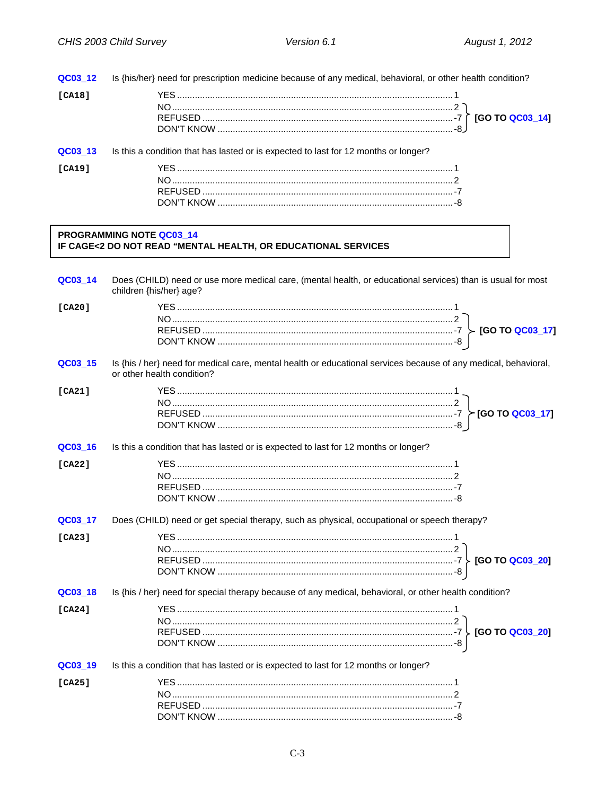| QC03_12 | Is {his/her} need for prescription medicine because of any medical, behavioral, or other health condition?                                    |
|---------|-----------------------------------------------------------------------------------------------------------------------------------------------|
| [CA18]  |                                                                                                                                               |
| QC03_13 | Is this a condition that has lasted or is expected to last for 12 months or longer?                                                           |
| [CA19]  |                                                                                                                                               |
|         | <b>PROGRAMMING NOTE QC03_14</b><br>IF CAGE<2 DO NOT READ "MENTAL HEALTH, OR EDUCATIONAL SERVICES                                              |
| QC03_14 | Does (CHILD) need or use more medical care, (mental health, or educational services) than is usual for most<br>children {his/her} age?        |
| [CA20]  |                                                                                                                                               |
| QC03_15 | Is {his / her} need for medical care, mental health or educational services because of any medical, behavioral,<br>or other health condition? |
| [CA21]  |                                                                                                                                               |
| QC03_16 | Is this a condition that has lasted or is expected to last for 12 months or longer?                                                           |
| [CA22]  |                                                                                                                                               |
| QC03_17 | Does (CHILD) need or get special therapy, such as physical, occupational or speech therapy?                                                   |
| [CA23]  |                                                                                                                                               |

QC03\_18 Is {his / her} need for special therapy because of any medical, behavioral, or other health condition?

| $C_A241$ |                                                                                                    |  |
|----------|----------------------------------------------------------------------------------------------------|--|
|          |                                                                                                    |  |
|          |                                                                                                    |  |
|          |                                                                                                    |  |
|          | <b>QC03 19</b> Is this a condition that has lasted or is expected to last for 12 months or longer? |  |

| <b>LCA25</b> |  |
|--------------|--|
|              |  |
|              |  |
|              |  |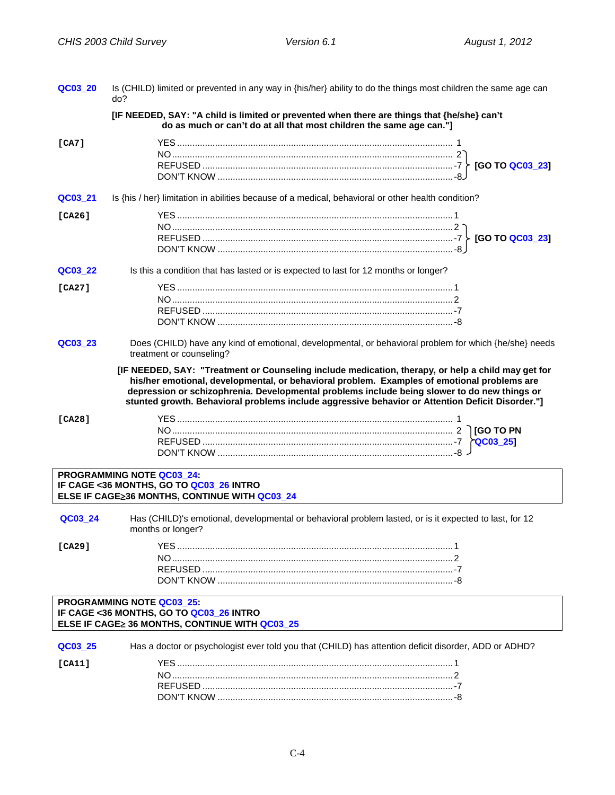| QC03_20 | Is (CHILD) limited or prevented in any way in {his/her} ability to do the things most children the same age can<br>do?                                                                                                                                                                                                                                                                                                                                                                                                                      |
|---------|---------------------------------------------------------------------------------------------------------------------------------------------------------------------------------------------------------------------------------------------------------------------------------------------------------------------------------------------------------------------------------------------------------------------------------------------------------------------------------------------------------------------------------------------|
|         | [IF NEEDED, SAY: "A child is limited or prevented when there are things that {he/she} can't<br>do as much or can't do at all that most children the same age can."]                                                                                                                                                                                                                                                                                                                                                                         |
| [CA7]   |                                                                                                                                                                                                                                                                                                                                                                                                                                                                                                                                             |
| QC03_21 | Is {his / her} limitation in abilities because of a medical, behavioral or other health condition?                                                                                                                                                                                                                                                                                                                                                                                                                                          |
| [CA26]  |                                                                                                                                                                                                                                                                                                                                                                                                                                                                                                                                             |
| QC03_22 | Is this a condition that has lasted or is expected to last for 12 months or longer?                                                                                                                                                                                                                                                                                                                                                                                                                                                         |
| [CA27]  |                                                                                                                                                                                                                                                                                                                                                                                                                                                                                                                                             |
| QC03 23 | Does (CHILD) have any kind of emotional, developmental, or behavioral problem for which {he/she} needs<br>treatment or counseling?<br>[IF NEEDED, SAY: "Treatment or Counseling include medication, therapy, or help a child may get for<br>his/her emotional, developmental, or behavioral problem. Examples of emotional problems are<br>depression or schizophrenia. Developmental problems include being slower to do new things or<br>stunted growth. Behavioral problems include aggressive behavior or Attention Deficit Disorder."] |
| [CA28]  |                                                                                                                                                                                                                                                                                                                                                                                                                                                                                                                                             |
|         | PROGRAMMING NOTE QC03_24:<br>IF CAGE <36 MONTHS, GO TO QC03_26 INTRO<br>ELSE IF CAGE≥36 MONTHS, CONTINUE WITH QC03_24                                                                                                                                                                                                                                                                                                                                                                                                                       |
| QC03 24 | Has (CHILD)'s emotional, developmental or behavioral problem lasted, or is it expected to last, for 12<br>months or longer?                                                                                                                                                                                                                                                                                                                                                                                                                 |
| [CA29]  |                                                                                                                                                                                                                                                                                                                                                                                                                                                                                                                                             |
|         | PROGRAMMING NOTE QC03_25:<br>IF CAGE <36 MONTHS, GO TO QC03_26 INTRO<br>ELSE IF CAGE≥ 36 MONTHS, CONTINUE WITH QC03_25                                                                                                                                                                                                                                                                                                                                                                                                                      |
| QC03 25 | Has a doctor or psychologist ever told you that (CHILD) has attention deficit disorder, ADD or ADHD?                                                                                                                                                                                                                                                                                                                                                                                                                                        |
| [CA11]  |                                                                                                                                                                                                                                                                                                                                                                                                                                                                                                                                             |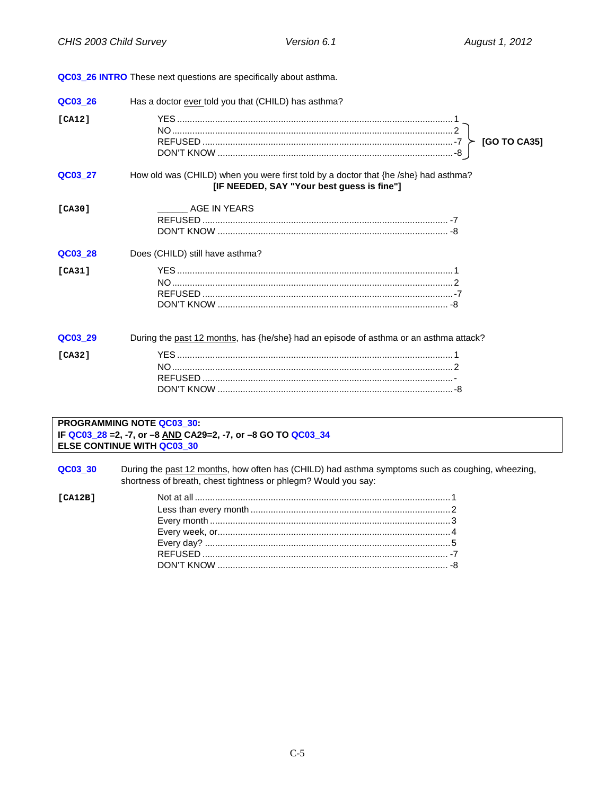<span id="page-6-0"></span>

| QC03 26 | Has a doctor ever told you that (CHILD) has asthma?                                                                               |
|---------|-----------------------------------------------------------------------------------------------------------------------------------|
| [CA12]  | [GO TO CA35]                                                                                                                      |
| QC03 27 | How old was (CHILD) when you were first told by a doctor that {he /she} had asthma?<br>[IF NEEDED, SAY "Your best guess is fine"] |
| [CA30]  | AGE IN YEARS                                                                                                                      |
| QC03 28 | Does (CHILD) still have asthma?                                                                                                   |
| [CA31]  |                                                                                                                                   |
| QC03 29 | During the past 12 months, has {he/she} had an episode of asthma or an asthma attack?                                             |
| [CA32]  |                                                                                                                                   |

# PROGRAMMING NOTE QC03\_30:<br>IF QC03\_28 =2, -7, or −8 <u>AND</u> CA29=2, -7, or −8 GO TO QC03\_34<br>ELSE CONTINUE WITH QC03\_30

| QC03 30 | During the past 12 months, how often has (CHILD) had asthma symptoms such as coughing, wheezing, |
|---------|--------------------------------------------------------------------------------------------------|
|         | shortness of breath, chest tightness or phlegm? Would you say:                                   |

| [CA12B] |  |
|---------|--|
|         |  |
|         |  |
|         |  |
|         |  |
|         |  |
|         |  |
|         |  |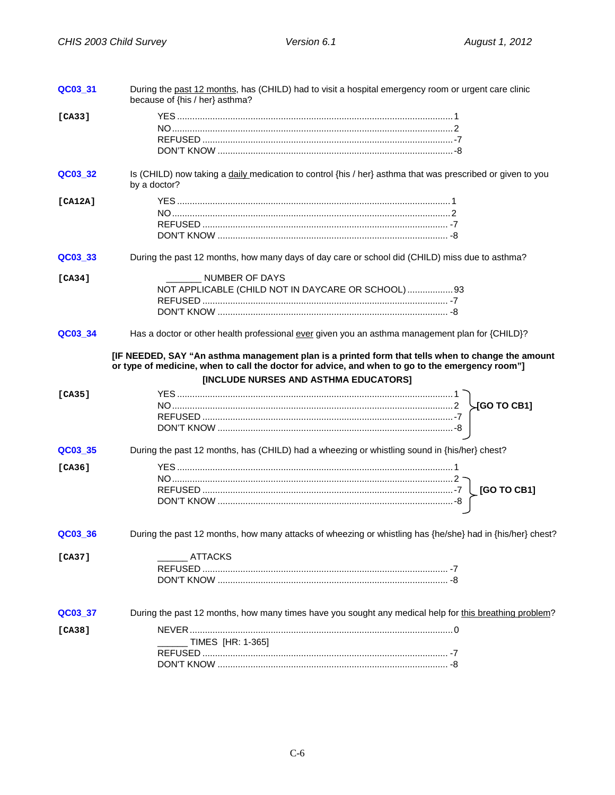| QC03_31 | During the past 12 months, has (CHILD) had to visit a hospital emergency room or urgent care clinic<br>because of {his / her} asthma?                                                                                                         |  |
|---------|-----------------------------------------------------------------------------------------------------------------------------------------------------------------------------------------------------------------------------------------------|--|
| [CA33]  |                                                                                                                                                                                                                                               |  |
| QC03_32 | Is (CHILD) now taking a daily medication to control {his / her} asthma that was prescribed or given to you<br>by a doctor?                                                                                                                    |  |
| [CA12A] |                                                                                                                                                                                                                                               |  |
| QC03_33 | During the past 12 months, how many days of day care or school did (CHILD) miss due to asthma?                                                                                                                                                |  |
| [CA34]  | NUMBER OF DAYS<br>NOT APPLICABLE (CHILD NOT IN DAYCARE OR SCHOOL)  93                                                                                                                                                                         |  |
| QC03_34 | Has a doctor or other health professional ever given you an asthma management plan for {CHILD}?                                                                                                                                               |  |
|         | [IF NEEDED, SAY "An asthma management plan is a printed form that tells when to change the amount<br>or type of medicine, when to call the doctor for advice, and when to go to the emergency room"]<br>[INCLUDE NURSES AND ASTHMA EDUCATORS] |  |
| [CA35]  |                                                                                                                                                                                                                                               |  |
| QC03 35 | During the past 12 months, has (CHILD) had a wheezing or whistling sound in {his/her} chest?                                                                                                                                                  |  |
| [CA36]  |                                                                                                                                                                                                                                               |  |
| QC03_36 | During the past 12 months, how many attacks of wheezing or whistling has {he/she} had in {his/her} chest?                                                                                                                                     |  |
| [CA37]  | <b>ATTACKS</b>                                                                                                                                                                                                                                |  |
| QC03_37 | During the past 12 months, how many times have you sought any medical help for this breathing problem?                                                                                                                                        |  |
| [CA38]  | TIMES [HR: 1-365]                                                                                                                                                                                                                             |  |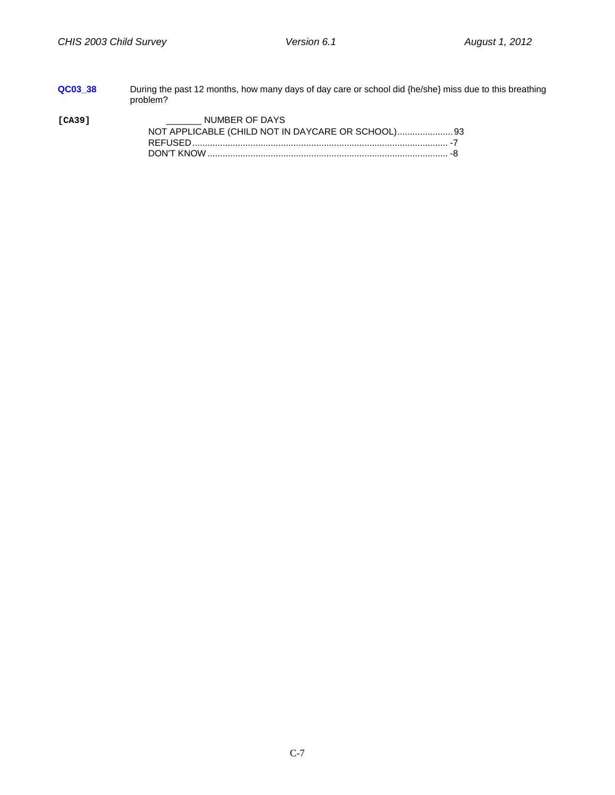| QC03 38 | During the past 12 months, how many days of day care or school did {he/she} miss due to this breathing<br>problem? |  |
|---------|--------------------------------------------------------------------------------------------------------------------|--|
| [CA39]  | NUMBER OF DAYS                                                                                                     |  |
|         |                                                                                                                    |  |
|         |                                                                                                                    |  |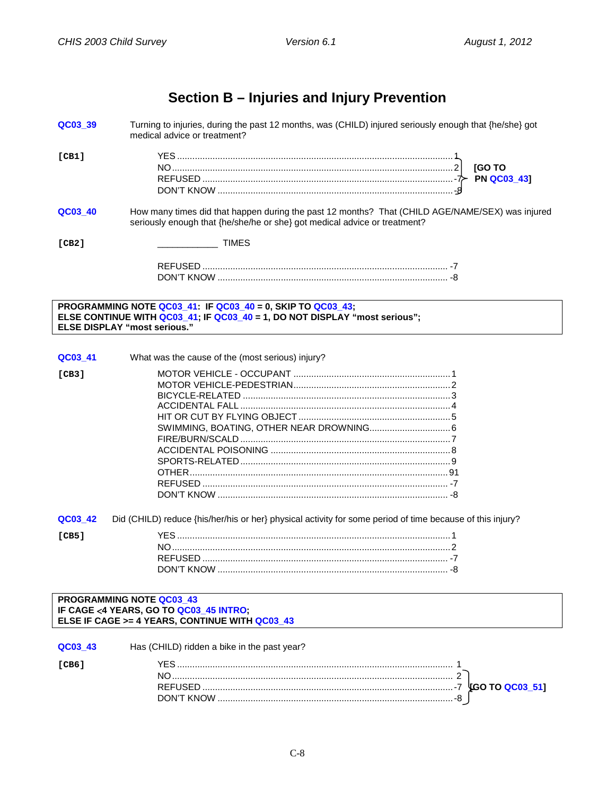## **Section B – Injuries and Injury Prevention**

<span id="page-9-1"></span><span id="page-9-0"></span>

| QC03_39                             | Turning to injuries, during the past 12 months, was (CHILD) injured seriously enough that {he/she} got<br>medical advice or treatment?                                       |
|-------------------------------------|------------------------------------------------------------------------------------------------------------------------------------------------------------------------------|
| [CH1]                               | <b>IGO TO</b>                                                                                                                                                                |
| QC03_40                             | How many times did that happen during the past 12 months? That (CHILD AGE/NAME/SEX) was injured<br>seriously enough that {he/she/he or she} got medical advice or treatment? |
| [CB2]                               | <b>TIMES</b>                                                                                                                                                                 |
|                                     |                                                                                                                                                                              |
| <b>ELSE DISPLAY "most serious."</b> | PROGRAMMING NOTE QC03_41: IF QC03_40 = 0, SKIP TO QC03_43;<br>ELSE CONTINUE WITH QC03_41; IF QC03_40 = 1, DO NOT DISPLAY "most serious";                                     |
|                                     |                                                                                                                                                                              |
| QC03_41                             | What was the cause of the (most serious) injury?                                                                                                                             |
| [CB3]                               |                                                                                                                                                                              |
|                                     |                                                                                                                                                                              |
|                                     |                                                                                                                                                                              |
|                                     |                                                                                                                                                                              |
|                                     |                                                                                                                                                                              |
|                                     |                                                                                                                                                                              |
|                                     |                                                                                                                                                                              |
|                                     |                                                                                                                                                                              |
|                                     |                                                                                                                                                                              |
|                                     |                                                                                                                                                                              |
|                                     |                                                                                                                                                                              |
| QC03_42                             | Did (CHILD) reduce {his/her/his or her} physical activity for some period of time because of this injury?                                                                    |
| [CB5]                               |                                                                                                                                                                              |
|                                     |                                                                                                                                                                              |
|                                     |                                                                                                                                                                              |
|                                     |                                                                                                                                                                              |
|                                     |                                                                                                                                                                              |
|                                     | <b>PROGRAMMING NOTE QC03 43</b>                                                                                                                                              |
|                                     | IF CAGE <4 YEARS, GO TO QC03_45 INTRO;<br>ELSE IF CAGE >= 4 YEARS, CONTINUE WITH QC03_43                                                                                     |
|                                     |                                                                                                                                                                              |

<span id="page-9-2"></span>

| QC03 43 | Has (CHILD) ridden a bike in the past year?                                                                                                                                                                                                                                                                                                                                                   |  |
|---------|-----------------------------------------------------------------------------------------------------------------------------------------------------------------------------------------------------------------------------------------------------------------------------------------------------------------------------------------------------------------------------------------------|--|
| ICB6    |                                                                                                                                                                                                                                                                                                                                                                                               |  |
|         |                                                                                                                                                                                                                                                                                                                                                                                               |  |
|         |                                                                                                                                                                                                                                                                                                                                                                                               |  |
|         | $\begin{minipage}{0.5\textwidth} \begin{tabular}{ l l l } \hline \textbf{0.01} & \textbf{0.01} & \textbf{0.01} & \textbf{0.01} & \textbf{0.01} & \textbf{0.01} & \textbf{0.01} & \textbf{0.01} & \textbf{0.01} & \textbf{0.01} & \textbf{0.01} & \textbf{0.01} & \textbf{0.01} & \textbf{0.01} & \textbf{0.01} & \textbf{0.01} & \textbf{0.01} & \textbf{0.01} & \textbf{0.01}$<br>DON'T KNOW |  |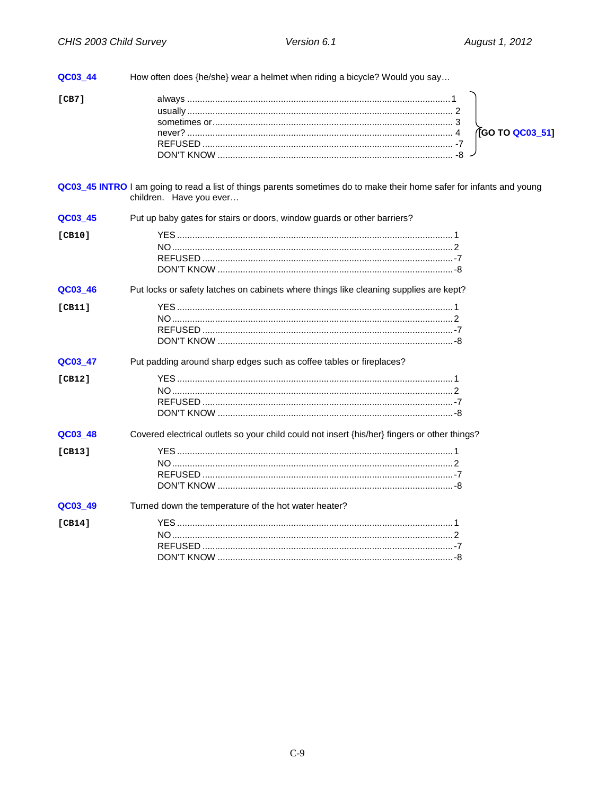<span id="page-10-0"></span>

| QC03_44 | How often does {he/she} wear a helmet when riding a bicycle? Would you say                                                                       |
|---------|--------------------------------------------------------------------------------------------------------------------------------------------------|
| [CB7]   | (GO TO QC03_51)                                                                                                                                  |
|         | QC03_45 INTRO I am going to read a list of things parents sometimes do to make their home safer for infants and young<br>children. Have you ever |
| QC03_45 | Put up baby gates for stairs or doors, window guards or other barriers?                                                                          |
| [CB10]  |                                                                                                                                                  |
| QC03_46 | Put locks or safety latches on cabinets where things like cleaning supplies are kept?                                                            |
| [CH1]   |                                                                                                                                                  |
| QC03_47 | Put padding around sharp edges such as coffee tables or fireplaces?                                                                              |
| [CB12]  |                                                                                                                                                  |
| QC03_48 | Covered electrical outlets so your child could not insert {his/her} fingers or other things?                                                     |
| [CB13]  |                                                                                                                                                  |
| QC03_49 | Turned down the temperature of the hot water heater?                                                                                             |
| [CH14]  |                                                                                                                                                  |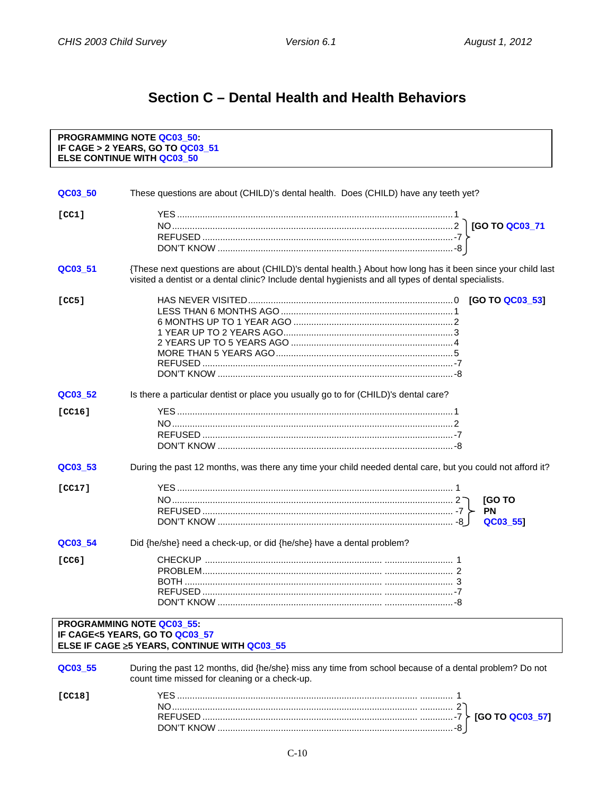## Section C - Dental Health and Health Behaviors

#### <span id="page-11-2"></span><span id="page-11-1"></span><span id="page-11-0"></span>PROGRAMMING NOTE QC03\_50: IF CAGE > 2 YEARS, GO TO QC03\_51 **ELSE CONTINUE WITH QC03 50** QC03 50 These questions are about (CHILD)'s dental health. Does (CHILD) have any teeth yet?  $[CC1]$ {These next questions are about (CHILD)'s dental health.} About how long has it been since your child last QC03\_51 visited a dentist or a dental clinic? Include dental hygienists and all types of dental specialists.  $[CC5]$ QC03 52 Is there a particular dentist or place you usually go to for (CHILD)'s dental care?  $ICC161$ QC03 53 During the past 12 months, was there any time your child needed dental care, but you could not afford it?  $ICC171$ [GO TO **PN** QC03 551 Did {he/she} need a check-up, or did {he/she} have a dental problem? QC03 54  $ICCG1$ **PROGRAMMING NOTE QC03 55:** IF CAGE<5 YEARS, GO TO QC03 57 ELSE IF CAGE ≥5 YEARS, CONTINUE WITH QC03\_55 During the past 12 months, did {he/she} miss any time from school because of a dental problem? Do not QC03\_55 count time missed for cleaning or a check-up.  $[CC18]$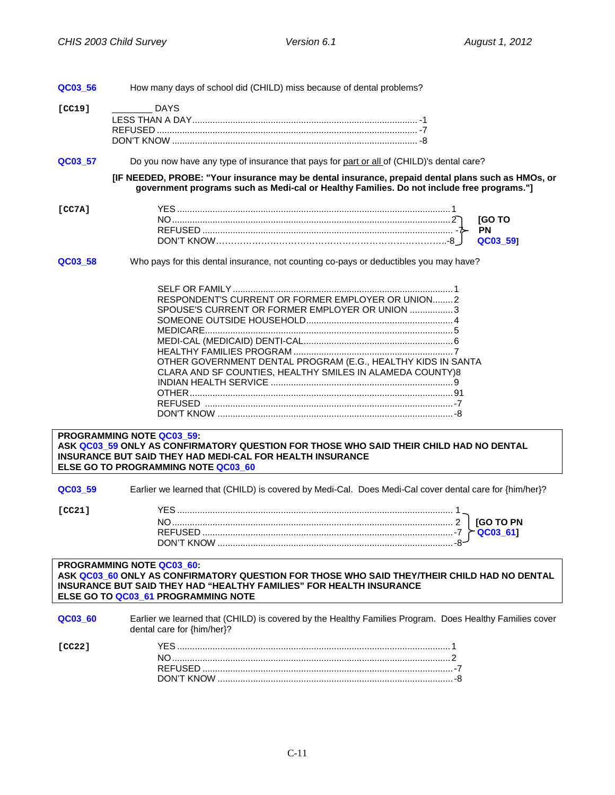<span id="page-12-0"></span>

| QC03_56 | How many days of school did (CHILD) miss because of dental problems?                                                                                                                                                                                                                                                                                                                                                                                                                                                                                        |
|---------|-------------------------------------------------------------------------------------------------------------------------------------------------------------------------------------------------------------------------------------------------------------------------------------------------------------------------------------------------------------------------------------------------------------------------------------------------------------------------------------------------------------------------------------------------------------|
| [CC19]  | <b>DAYS</b>                                                                                                                                                                                                                                                                                                                                                                                                                                                                                                                                                 |
| QC03_57 | Do you now have any type of insurance that pays for part or all of (CHILD)'s dental care?                                                                                                                                                                                                                                                                                                                                                                                                                                                                   |
|         | [IF NEEDED, PROBE: "Your insurance may be dental insurance, prepaid dental plans such as HMOs, or<br>government programs such as Medi-cal or Healthy Families. Do not include free programs."]                                                                                                                                                                                                                                                                                                                                                              |
| [CC7A]  | <b>[GOTO</b><br><b>PN</b><br>QC03_59]                                                                                                                                                                                                                                                                                                                                                                                                                                                                                                                       |
| QC03_58 | Who pays for this dental insurance, not counting co-pays or deductibles you may have?<br>RESPONDENT'S CURRENT OR FORMER EMPLOYER OR UNION2<br>SPOUSE'S CURRENT OR FORMER EMPLOYER OR UNION 3<br>OTHER GOVERNMENT DENTAL PROGRAM (E.G., HEALTHY KIDS IN SANTA<br>CLARA AND SF COUNTIES, HEALTHY SMILES IN ALAMEDA COUNTY)8<br>PROGRAMMING NOTE QC03_59:<br>ASK QC03 59 ONLY AS CONFIRMATORY QUESTION FOR THOSE WHO SAID THEIR CHILD HAD NO DENTAL<br><b>INSURANCE BUT SAID THEY HAD MEDI-CAL FOR HEALTH INSURANCE</b><br>ELSE GO TO PROGRAMMING NOTE QC03_60 |
| QC03 59 | Earlier we learned that (CHILD) is covered by Medi-Cal. Does Medi-Cal cover dental care for {him/her}?                                                                                                                                                                                                                                                                                                                                                                                                                                                      |
| [CC21]  | QC03_61]<br>-8- DON'T KNOW                                                                                                                                                                                                                                                                                                                                                                                                                                                                                                                                  |
|         | <b>PROGRAMMING NOTE QC03_60:</b><br>ASK QC03_60 ONLY AS CONFIRMATORY QUESTION FOR THOSE WHO SAID THEY/THEIR CHILD HAD NO DENTAL<br>INSURANCE BUT SAID THEY HAD "HEALTHY FAMILIES" FOR HEALTH INSURANCE<br>ELSE GO TO QC03_61 PROGRAMMING NOTE                                                                                                                                                                                                                                                                                                               |
| QC03_60 | Earlier we learned that (CHILD) is covered by the Healthy Families Program. Does Healthy Families cover<br>dental care for {him/her}?                                                                                                                                                                                                                                                                                                                                                                                                                       |
| [CC22]  |                                                                                                                                                                                                                                                                                                                                                                                                                                                                                                                                                             |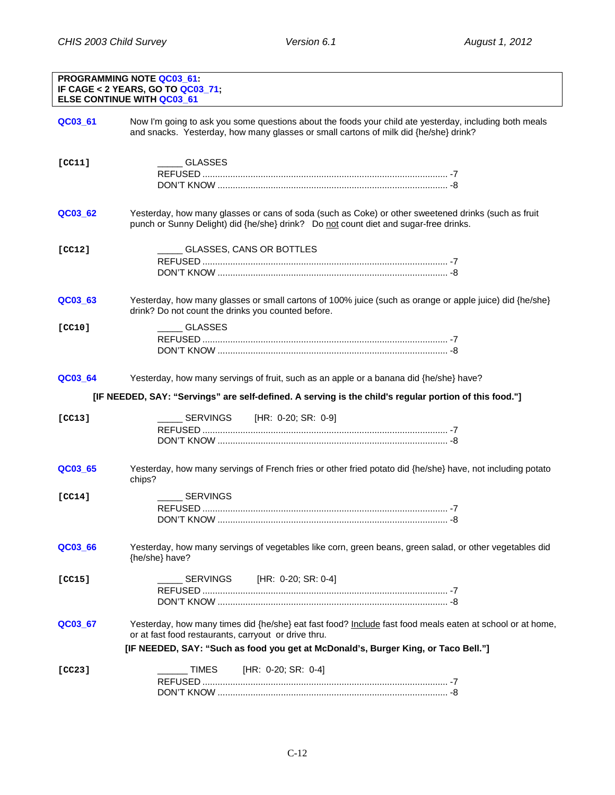<span id="page-13-0"></span>

| <b>PROGRAMMING NOTE QC03 61:</b><br>IF CAGE < 2 YEARS, GO TO QC03_71;<br><b>ELSE CONTINUE WITH QC03 61</b> |                                                                                                                                                                                                                                                         |  |
|------------------------------------------------------------------------------------------------------------|---------------------------------------------------------------------------------------------------------------------------------------------------------------------------------------------------------------------------------------------------------|--|
| QC03_61                                                                                                    | Now I'm going to ask you some questions about the foods your child ate yesterday, including both meals<br>and snacks. Yesterday, how many glasses or small cartons of milk did {he/she} drink?                                                          |  |
| [CC11]                                                                                                     | GLASSES                                                                                                                                                                                                                                                 |  |
| QC03_62                                                                                                    | Yesterday, how many glasses or cans of soda (such as Coke) or other sweetened drinks (such as fruit<br>punch or Sunny Delight) did {he/she} drink? Do not count diet and sugar-free drinks.                                                             |  |
| [CC12]                                                                                                     | GLASSES, CANS OR BOTTLES                                                                                                                                                                                                                                |  |
| QC03_63                                                                                                    | Yesterday, how many glasses or small cartons of 100% juice (such as orange or apple juice) did {he/she}<br>drink? Do not count the drinks you counted before.                                                                                           |  |
| [CC10]                                                                                                     | <b>GLASSES</b>                                                                                                                                                                                                                                          |  |
| QC03_64                                                                                                    | Yesterday, how many servings of fruit, such as an apple or a banana did {he/she} have?                                                                                                                                                                  |  |
|                                                                                                            | [IF NEEDED, SAY: "Servings" are self-defined. A serving is the child's regular portion of this food."]                                                                                                                                                  |  |
| [CC13]                                                                                                     | [HR: 0-20; SR: 0-9]<br>SERVINGS                                                                                                                                                                                                                         |  |
| QC03_65                                                                                                    | Yesterday, how many servings of French fries or other fried potato did {he/she} have, not including potato<br>chips?                                                                                                                                    |  |
| [CC14]                                                                                                     | SERVINGS                                                                                                                                                                                                                                                |  |
| QC03_66                                                                                                    | Yesterday, how many servings of vegetables like corn, green beans, green salad, or other vegetables did<br>{he/she} have?                                                                                                                               |  |
| [CC15]                                                                                                     | SERVINGS<br>[HR: 0-20; SR: 0-4]                                                                                                                                                                                                                         |  |
| QC03_67                                                                                                    | Yesterday, how many times did {he/she} eat fast food? Include fast food meals eaten at school or at home,<br>or at fast food restaurants, carryout or drive thru.<br>[IF NEEDED, SAY: "Such as food you get at McDonald's, Burger King, or Taco Bell."] |  |
| [CC23]                                                                                                     | <b>TIMES</b><br>[HR: 0-20; SR: 0-4]                                                                                                                                                                                                                     |  |
|                                                                                                            |                                                                                                                                                                                                                                                         |  |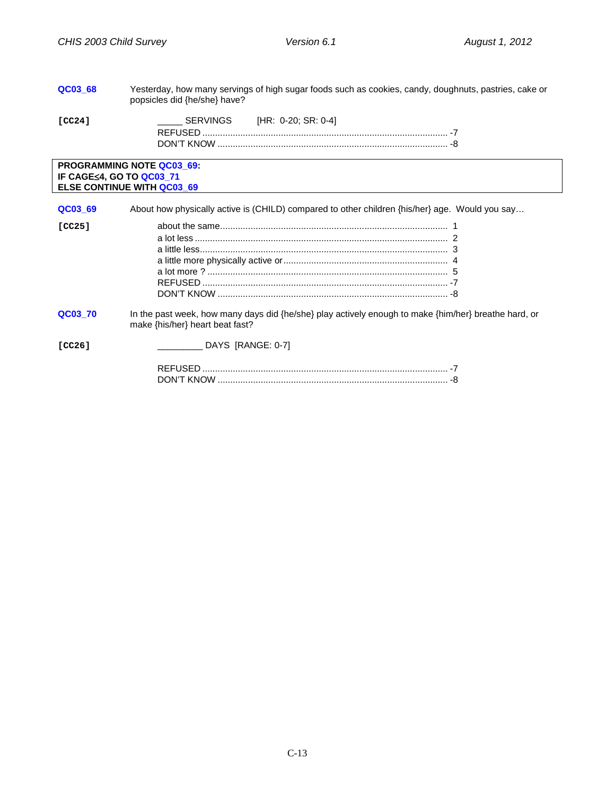<span id="page-14-0"></span>

| QC03 68                         | Yesterday, how many servings of high sugar foods such as cookies, candy, doughnuts, pastries, cake or<br>popsicles did {he/she} have?   |
|---------------------------------|-----------------------------------------------------------------------------------------------------------------------------------------|
| [CC24]                          | SERVINGS<br>[HR: 0-20; SR: 0-4]                                                                                                         |
| <b>IF CAGE≤4, GO TO QC03 71</b> | <b>PROGRAMMING NOTE QC03 69:</b><br><b>ELSE CONTINUE WITH QC03 69</b>                                                                   |
| QC03 69                         | About how physically active is (CHILD) compared to other children {his/her} age. Would you say                                          |
| [CC25]                          |                                                                                                                                         |
| QC03_70                         | In the past week, how many days did {he/she} play actively enough to make {him/her} breathe hard, or<br>make {his/her} heart beat fast? |
| [CC26]                          | ____________ DAYS [RANGE: 0-7]                                                                                                          |
|                                 |                                                                                                                                         |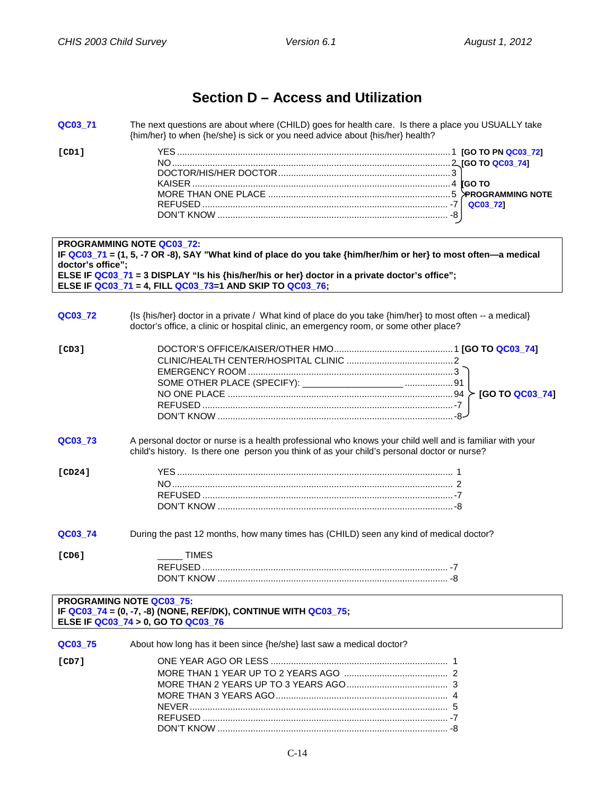## **Section D – Access and Utilization**

<span id="page-15-1"></span><span id="page-15-0"></span>

| QC03_71                                                                                                                                    | The next questions are about where (CHILD) goes for health care. Is there a place you USUALLY take<br>{him/her} to when {he/she} is sick or you need advice about {his/her} health?                                                                                                                               |  |
|--------------------------------------------------------------------------------------------------------------------------------------------|-------------------------------------------------------------------------------------------------------------------------------------------------------------------------------------------------------------------------------------------------------------------------------------------------------------------|--|
| [CD1]                                                                                                                                      |                                                                                                                                                                                                                                                                                                                   |  |
| doctor's office";                                                                                                                          | <b>PROGRAMMING NOTE QC03 72:</b><br>IF QC03_71 = (1, 5, -7 OR -8), SAY "What kind of place do you take {him/her/him or her} to most often—a medical<br>ELSE IF QC03_71 = 3 DISPLAY "Is his {his/her/his or her} doctor in a private doctor's office";<br>ELSE IF QC03_71 = 4, FILL QC03_73=1 AND SKIP TO QC03_76; |  |
|                                                                                                                                            |                                                                                                                                                                                                                                                                                                                   |  |
| QC03 72                                                                                                                                    | {Is {his/her} doctor in a private / What kind of place do you take {him/her} to most often -- a medical}<br>doctor's office, a clinic or hospital clinic, an emergency room, or some other place?                                                                                                                 |  |
| [CD3]                                                                                                                                      |                                                                                                                                                                                                                                                                                                                   |  |
| QC03_73                                                                                                                                    | A personal doctor or nurse is a health professional who knows your child well and is familiar with your<br>child's history. Is there one person you think of as your child's personal doctor or nurse?                                                                                                            |  |
| [CD24]                                                                                                                                     |                                                                                                                                                                                                                                                                                                                   |  |
| QC03_74                                                                                                                                    | During the past 12 months, how many times has (CHILD) seen any kind of medical doctor?                                                                                                                                                                                                                            |  |
| [CD6]                                                                                                                                      | <b>TIMES</b><br><b>REFLISED</b><br>$-7$                                                                                                                                                                                                                                                                           |  |
| <b>PROGRAMING NOTE QC03_75:</b><br>IF QC03_74 = $(0, -7, -8)$ (NONE, REF/DK), CONTINUE WITH QC03_75;<br>ELSE IF QC03_74 > 0, GO TO QC03_76 |                                                                                                                                                                                                                                                                                                                   |  |
| QC03_75                                                                                                                                    | About how long has it been since {he/she} last saw a medical doctor?                                                                                                                                                                                                                                              |  |
| [CD7]                                                                                                                                      |                                                                                                                                                                                                                                                                                                                   |  |

NEVER...................................................................................................... 5 REFUSED ................................................................................................. -7 DON'T KNOW ........................................................................................... -8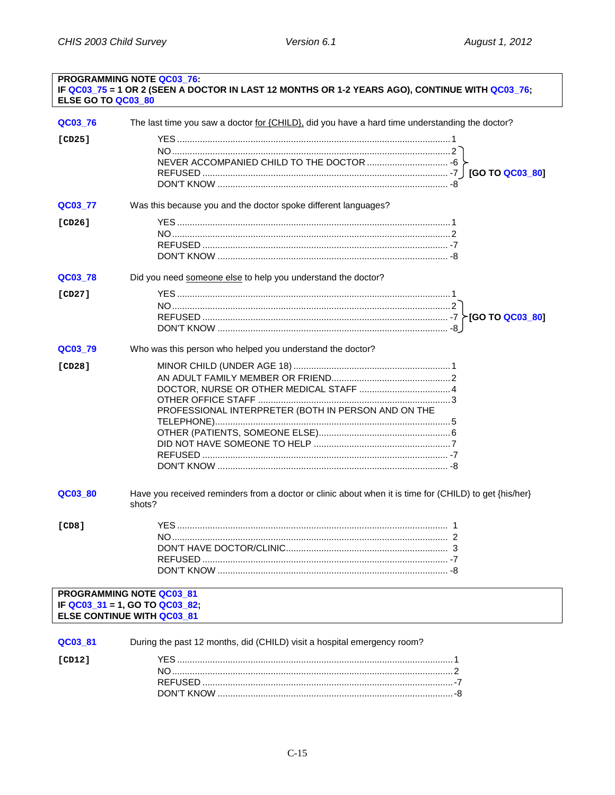<span id="page-16-1"></span><span id="page-16-0"></span>

| <b>PROGRAMMING NOTE QC03 76:</b><br>IF QC03_75 = 1 OR 2 (SEEN A DOCTOR IN LAST 12 MONTHS OR 1-2 YEARS AGO), CONTINUE WITH QC03_76;<br>ELSE GO TO QC03 80 |                                                                                                                             |  |
|----------------------------------------------------------------------------------------------------------------------------------------------------------|-----------------------------------------------------------------------------------------------------------------------------|--|
| QC03_76                                                                                                                                                  | The last time you saw a doctor for {CHILD}, did you have a hard time understanding the doctor?                              |  |
| [CD25]                                                                                                                                                   |                                                                                                                             |  |
| QC03_77                                                                                                                                                  | Was this because you and the doctor spoke different languages?                                                              |  |
| [CD26]                                                                                                                                                   |                                                                                                                             |  |
| QC03_78                                                                                                                                                  | Did you need someone else to help you understand the doctor?                                                                |  |
| [CD27]                                                                                                                                                   |                                                                                                                             |  |
| QC03_79                                                                                                                                                  | Who was this person who helped you understand the doctor?                                                                   |  |
| [CD28]                                                                                                                                                   | PROFESSIONAL INTERPRETER (BOTH IN PERSON AND ON THE                                                                         |  |
| QC03_80                                                                                                                                                  | Have you received reminders from a doctor or clinic about when it is time for (CHILD) to get {his/her}<br>shots?            |  |
| [CD8]                                                                                                                                                    | <b>YES</b>                                                                                                                  |  |
|                                                                                                                                                          | PROGRAMMING NOTE QC03 81<br>IF $\overline{Q}$ C03_31 = 1, GO TO $\overline{Q}$ C03_82;<br><b>ELSE CONTINUE WITH QC03 81</b> |  |
| QC03_81                                                                                                                                                  | During the past 12 months, did (CHILD) visit a hospital emergency room?                                                     |  |
| [CD12]                                                                                                                                                   |                                                                                                                             |  |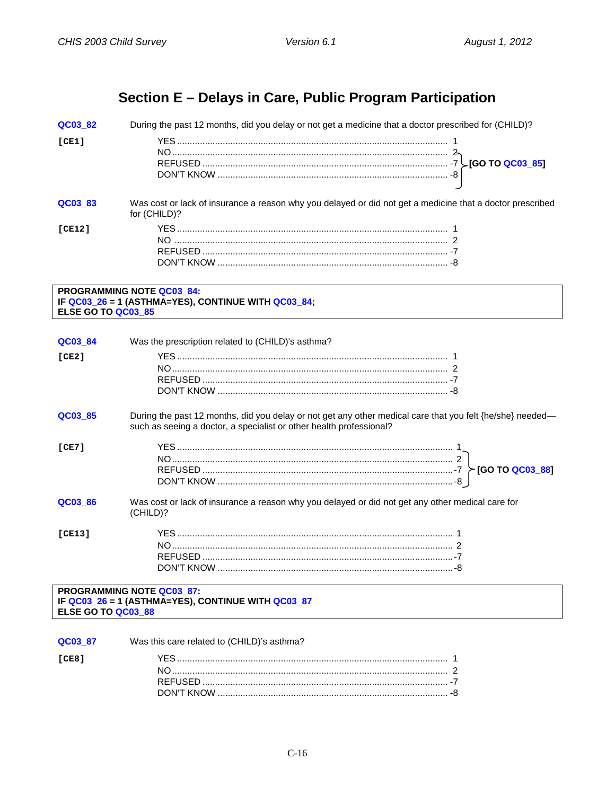## Section E - Delays in Care, Public Program Participation

<span id="page-17-1"></span><span id="page-17-0"></span>During the past 12 months, did you delay or not get a medicine that a doctor prescribed for (CHILD)? QC03 82  $[CE1]$ Was cost or lack of insurance a reason why you delayed or did not get a medicine that a doctor prescribed QC03 83 for (CHILD)?  $[CE12]$ 

#### PROGRAMMING NOTE QC03 84: IF QC03\_26 = 1 (ASTHMA=YES), CONTINUE WITH QC03\_84; ELSE GO TO QC03\_85

| QC03 84                                                                                                      | Was the prescription related to (CHILD)'s asthma?                                                                                                                                |  |
|--------------------------------------------------------------------------------------------------------------|----------------------------------------------------------------------------------------------------------------------------------------------------------------------------------|--|
| [CE2]                                                                                                        |                                                                                                                                                                                  |  |
| QC03 85                                                                                                      | During the past 12 months, did you delay or not get any other medical care that you felt {he/she} needed—<br>such as seeing a doctor, a specialist or other health professional? |  |
| [CE7]                                                                                                        |                                                                                                                                                                                  |  |
| QC03 86                                                                                                      | Was cost or lack of insurance a reason why you delayed or did not get any other medical care for<br>(CHILD)?                                                                     |  |
| ICE131                                                                                                       |                                                                                                                                                                                  |  |
| <b>PROGRAMMING NOTE QC03 87:</b><br>IF QC03_26 = 1 (ASTHMA=YES), CONTINUE WITH QC03_87<br>ELSE GO TO QC03_88 |                                                                                                                                                                                  |  |
|                                                                                                              |                                                                                                                                                                                  |  |
| QC03 87                                                                                                      | Was this care related to (CHILD)'s asthma?                                                                                                                                       |  |
| [CE8]                                                                                                        |                                                                                                                                                                                  |  |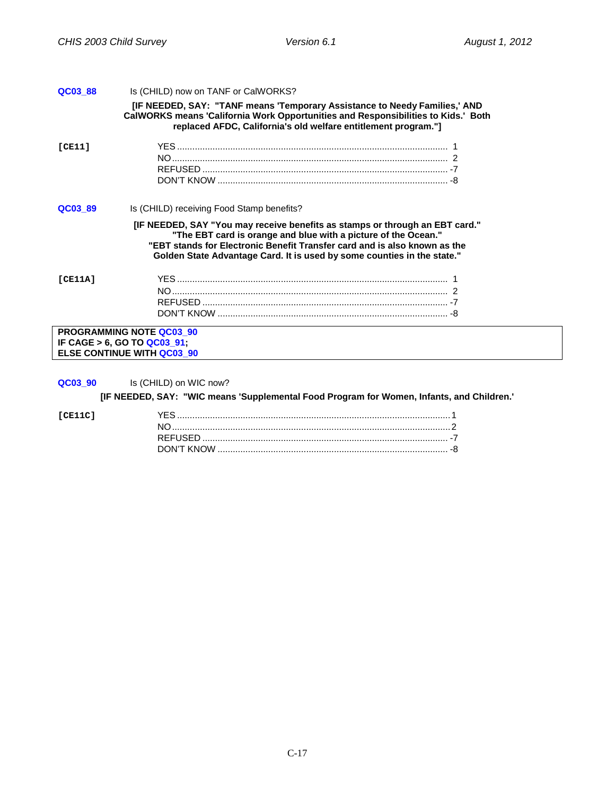<span id="page-18-0"></span>

| QC03_88 | Is (CHILD) now on TANF or CalWORKS?       |                                                                                                                                                                                                                                                                                                        |
|---------|-------------------------------------------|--------------------------------------------------------------------------------------------------------------------------------------------------------------------------------------------------------------------------------------------------------------------------------------------------------|
|         |                                           | [IF NEEDED, SAY: "TANF means 'Temporary Assistance to Needy Families,' AND<br>CalWORKS means 'California Work Opportunities and Responsibilities to Kids.' Both<br>replaced AFDC, California's old welfare entitlement program."]                                                                      |
| ICE111  |                                           |                                                                                                                                                                                                                                                                                                        |
|         |                                           |                                                                                                                                                                                                                                                                                                        |
|         |                                           |                                                                                                                                                                                                                                                                                                        |
| QC03 89 | Is (CHILD) receiving Food Stamp benefits? |                                                                                                                                                                                                                                                                                                        |
|         |                                           | [IF NEEDED, SAY "You may receive benefits as stamps or through an EBT card."<br>"The EBT card is orange and blue with a picture of the Ocean."<br>"EBT stands for Electronic Benefit Transfer card and is also known as the<br>Golden State Advantage Card. It is used by some counties in the state." |
| ICE11A1 |                                           |                                                                                                                                                                                                                                                                                                        |
|         |                                           |                                                                                                                                                                                                                                                                                                        |
|         |                                           |                                                                                                                                                                                                                                                                                                        |
|         |                                           |                                                                                                                                                                                                                                                                                                        |
|         | <b>PROGRAMMING NOTE QC03 90</b>           |                                                                                                                                                                                                                                                                                                        |
|         | IF CAGE $> 6$ , GO TO QC03 91;            |                                                                                                                                                                                                                                                                                                        |
|         | <b>ELSE CONTINUE WITH QC03 90</b>         |                                                                                                                                                                                                                                                                                                        |
|         |                                           |                                                                                                                                                                                                                                                                                                        |
|         |                                           |                                                                                                                                                                                                                                                                                                        |

**QC03\_90** Is (CHILD) on WIC now?

**[IF NEEDED, SAY: "WIC means 'Supplemental Food Program for Women, Infants, and Children.'**

| LCE11C |  |
|--------|--|
|        |  |
|        |  |
|        |  |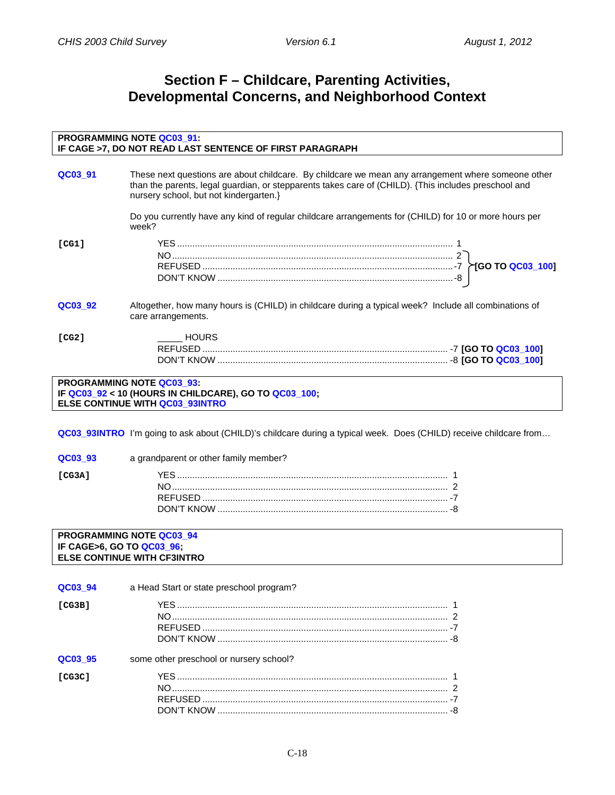## **Section F – Childcare, Parenting Activities, Developmental Concerns, and Neighborhood Context**

<span id="page-19-1"></span><span id="page-19-0"></span>

| <b>PROGRAMMING NOTE QC03_91:</b><br>IF CAGE >7, DO NOT READ LAST SENTENCE OF FIRST PARAGRAPH |                                                                                                                                                                                                                                                      |  |
|----------------------------------------------------------------------------------------------|------------------------------------------------------------------------------------------------------------------------------------------------------------------------------------------------------------------------------------------------------|--|
| QC03 91                                                                                      | These next questions are about childcare. By childcare we mean any arrangement where someone other<br>than the parents, legal guardian, or stepparents takes care of (CHILD). {This includes preschool and<br>nursery school, but not kindergarten.} |  |
|                                                                                              | Do you currently have any kind of regular childcare arrangements for (CHILD) for 10 or more hours per<br>week?                                                                                                                                       |  |
| [CG1]                                                                                        |                                                                                                                                                                                                                                                      |  |
| QC03 92                                                                                      | Altogether, how many hours is (CHILD) in childcare during a typical week? Include all combinations of<br>care arrangements.                                                                                                                          |  |
| [CG2]                                                                                        | <b>HOURS</b>                                                                                                                                                                                                                                         |  |
| <b>PROGRAMMING NOTE QC03 93:</b>                                                             |                                                                                                                                                                                                                                                      |  |

**IF QC03\_92 < 10 (HOURS IN CHILDCARE), GO TO QC03\_100; ELSE CONTINUE WITH QC03\_93INTRO**

<span id="page-19-2"></span>**QC03\_93INTRO** I'm going to ask about (CHILD)'s childcare during a typical week. Does (CHILD) receive childcare from…

**QC03\_93** a grandparent or other family member?

#### **PROGRAMMING NOTE QC03\_94 IF CAGE>6, GO TO QC03\_96; ELSE CONTINUE WITH CF3INTRO**

| QC03 94 | a Head Start or state preschool program? |
|---------|------------------------------------------|
| [CG3B]  |                                          |
| QC03 95 | some other preschool or nursery school?  |
| ICG3C1  |                                          |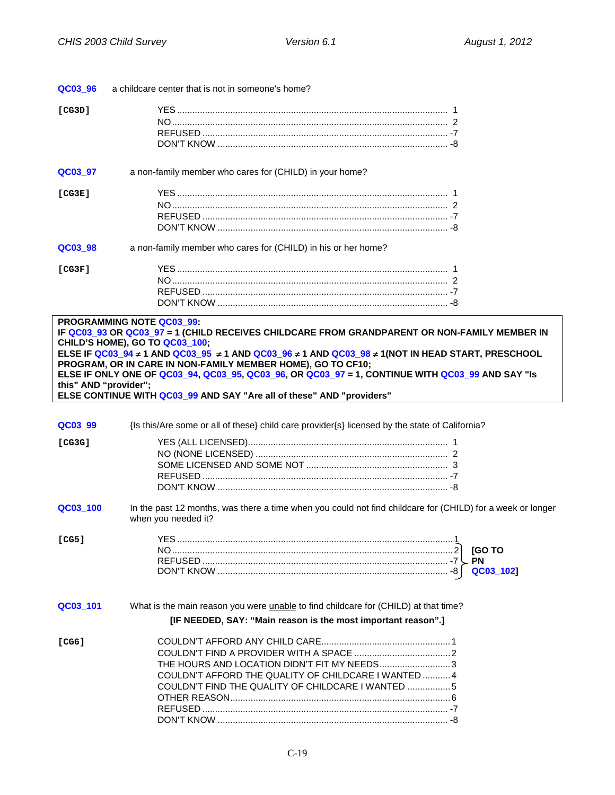<span id="page-20-0"></span>

| QC03_96               | a childcare center that is not in someone's home?                                                                                                                                                                                                                                                                                                                                                                                                                                                                                |
|-----------------------|----------------------------------------------------------------------------------------------------------------------------------------------------------------------------------------------------------------------------------------------------------------------------------------------------------------------------------------------------------------------------------------------------------------------------------------------------------------------------------------------------------------------------------|
| [CG3D]                |                                                                                                                                                                                                                                                                                                                                                                                                                                                                                                                                  |
| QC03_97               | a non-family member who cares for (CHILD) in your home?                                                                                                                                                                                                                                                                                                                                                                                                                                                                          |
| [CG3E]                |                                                                                                                                                                                                                                                                                                                                                                                                                                                                                                                                  |
| QC03_98               | a non-family member who cares for (CHILD) in his or her home?                                                                                                                                                                                                                                                                                                                                                                                                                                                                    |
| [CG3F]                |                                                                                                                                                                                                                                                                                                                                                                                                                                                                                                                                  |
| this" AND "provider"; | <b>PROGRAMMING NOTE QC03_99:</b><br>IF QC03_93 OR QC03_97 = 1 (CHILD RECEIVES CHILDCARE FROM GRANDPARENT OR NON-FAMILY MEMBER IN<br>CHILD'S HOME), GO TO QC03_100;<br>ELSE IF <mark>QC03_94 ≠ 1 AND QC03_95  ≠ 1 AND QC03_96 ≠ 1 AND QC03_98 ≠ 1(NOT IN HEAD START, PRESCHOOL</mark><br>PROGRAM, OR IN CARE IN NON-FAMILY MEMBER HOME), GO TO CF10;<br>ELSE IF ONLY ONE OF QC03_94, QC03_95, QC03_96, OR QC03_97 = 1, CONTINUE WITH QC03_99 AND SAY "Is<br>ELSE CONTINUE WITH QC03_99 AND SAY "Are all of these" AND "providers" |
| QC03_99               | {Is this/Are some or all of these} child care provider{s} licensed by the state of California?                                                                                                                                                                                                                                                                                                                                                                                                                                   |
| [CG3G]                |                                                                                                                                                                                                                                                                                                                                                                                                                                                                                                                                  |
| QC03_100              | In the past 12 months, was there a time when you could not find childcare for (CHILD) for a week or longer<br>when you needed it?                                                                                                                                                                                                                                                                                                                                                                                                |
| [CG5]                 | <b>[GOTO</b><br>QC03_102]                                                                                                                                                                                                                                                                                                                                                                                                                                                                                                        |
| QC03_101              | What is the main reason you were unable to find childcare for (CHILD) at that time?<br>[IF NEEDED, SAY: "Main reason is the most important reason".]                                                                                                                                                                                                                                                                                                                                                                             |
| [CG6]                 | THE HOURS AND LOCATION DIDN'T FIT MY NEEDS3<br>COULDN'T AFFORD THE QUALITY OF CHILDCARE I WANTED  4<br>COULDN'T FIND THE QUALITY OF CHILDCARE I WANTED 5                                                                                                                                                                                                                                                                                                                                                                         |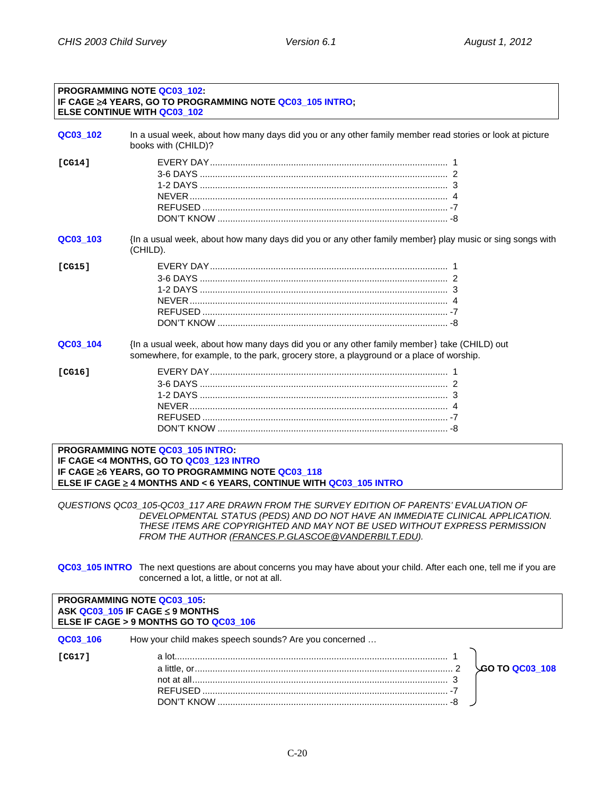#### **PROGRAMMING NOTE QC03\_102: IF CAGE** ≥**4 YEARS, GO TO PROGRAMMING NOTE QC03\_105 INTRO; ELSE CONTINUE WITH QC03\_102**

<span id="page-21-0"></span>

| QC03 102 | In a usual week, about how many days did you or any other family member read stories or look at picture<br>books with (CHILD)?                                                        |
|----------|---------------------------------------------------------------------------------------------------------------------------------------------------------------------------------------|
| [CG14]   |                                                                                                                                                                                       |
| QC03 103 | {In a usual week, about how many days did you or any other family member} play music or sing songs with<br>(CHILD).                                                                   |
| [CG15]   |                                                                                                                                                                                       |
| QC03_104 | {In a usual week, about how many days did you or any other family member} take (CHILD) out<br>somewhere, for example, to the park, grocery store, a playground or a place of worship. |
| [CG16]   |                                                                                                                                                                                       |

**PROGRAMMING NOTE QC03\_105 INTRO: IF CAGE <4 MONTHS, GO TO QC03\_123 INTRO IF CAGE** ≥**6 YEARS, GO TO PROGRAMMING NOTE QC03\_118 ELSE IF CAGE** ≥ **4 MONTHS AND < 6 YEARS, CONTINUE WITH QC03\_105 INTRO**

*QUESTIONS QC03\_105-QC03\_117 ARE DRAWN FROM THE SURVEY EDITION OF PARENTS' EVALUATION OF DEVELOPMENTAL STATUS (PEDS) AND DO NOT HAVE AN IMMEDIATE CLINICAL APPLICATION. THESE ITEMS ARE COPYRIGHTED AND MAY NOT BE USED WITHOUT EXPRESS PERMISSION FROM THE AUTHOR (FRANCES.P.GLASCOE@VANDERBILT.EDU).*

**QC03\_105 INTRO** The next questions are about concerns you may have about your child. After each one, tell me if you are concerned a lot, a little, or not at all.

<span id="page-21-1"></span>

| <b>PROGRAMMING NOTE QC03 105:</b><br>ASK QC03_105 IF CAGE $\leq$ 9 MONTHS<br>ELSE IF CAGE > 9 MONTHS GO TO QC03_106 |                                                       |                 |  |
|---------------------------------------------------------------------------------------------------------------------|-------------------------------------------------------|-----------------|--|
| QC03 106<br>ICG171                                                                                                  | How your child makes speech sounds? Are you concerned | ∕GO TO QC03 108 |  |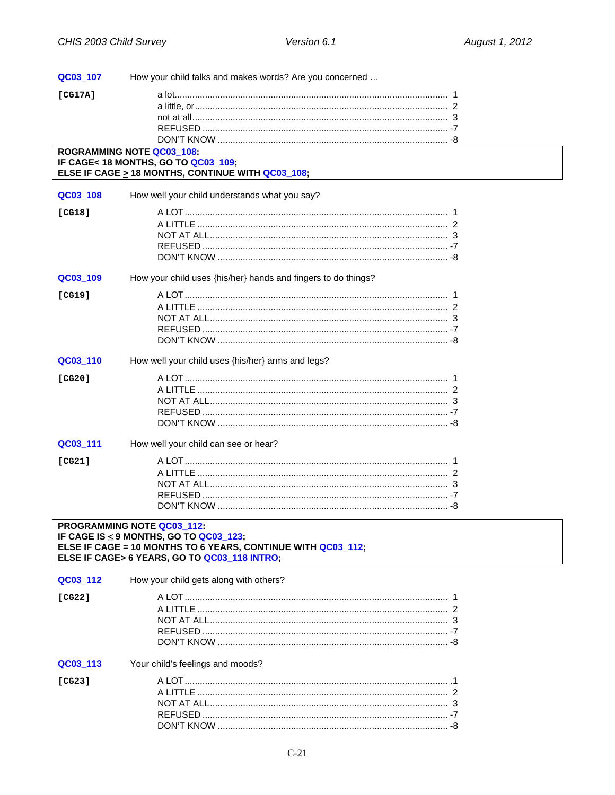| QC03_107 | How your child talks and makes words? Are you concerned                                                                                                                              |  |
|----------|--------------------------------------------------------------------------------------------------------------------------------------------------------------------------------------|--|
| [CG17A]  |                                                                                                                                                                                      |  |
|          |                                                                                                                                                                                      |  |
|          |                                                                                                                                                                                      |  |
|          |                                                                                                                                                                                      |  |
|          |                                                                                                                                                                                      |  |
|          | <b>ROGRAMMING NOTE QC03_108:</b><br>IF CAGE< 18 MONTHS, GO TO QC03_109;<br>ELSE IF CAGE $\geq$ 18 MONTHS, CONTINUE WITH QC03_108;                                                    |  |
| QC03_108 | How well your child understands what you say?                                                                                                                                        |  |
| [CG18]   |                                                                                                                                                                                      |  |
|          |                                                                                                                                                                                      |  |
|          |                                                                                                                                                                                      |  |
|          |                                                                                                                                                                                      |  |
|          |                                                                                                                                                                                      |  |
| QC03_109 | How your child uses {his/her} hands and fingers to do things?                                                                                                                        |  |
| [CG19]   |                                                                                                                                                                                      |  |
|          |                                                                                                                                                                                      |  |
|          |                                                                                                                                                                                      |  |
|          |                                                                                                                                                                                      |  |
|          |                                                                                                                                                                                      |  |
| QC03_110 | How well your child uses {his/her} arms and legs?                                                                                                                                    |  |
| [CG20]   |                                                                                                                                                                                      |  |
|          |                                                                                                                                                                                      |  |
|          |                                                                                                                                                                                      |  |
|          |                                                                                                                                                                                      |  |
|          |                                                                                                                                                                                      |  |
| QC03_111 | How well your child can see or hear?                                                                                                                                                 |  |
| [CG21]   |                                                                                                                                                                                      |  |
|          |                                                                                                                                                                                      |  |
|          |                                                                                                                                                                                      |  |
|          |                                                                                                                                                                                      |  |
|          |                                                                                                                                                                                      |  |
|          | PROGRAMMING NOTE QC03_112:<br>IF CAGE IS ≤ 9 MONTHS, GO TO QC03_123;<br>ELSE IF CAGE = 10 MONTHS TO 6 YEARS, CONTINUE WITH QC03_112;<br>ELSE IF CAGE> 6 YEARS, GO TO QC03_118 INTRO; |  |
| QC03_112 | How your child gets along with others?                                                                                                                                               |  |
| [CG22]   |                                                                                                                                                                                      |  |
|          |                                                                                                                                                                                      |  |
|          |                                                                                                                                                                                      |  |
|          |                                                                                                                                                                                      |  |
|          |                                                                                                                                                                                      |  |
| QC03_113 | Your child's feelings and moods?                                                                                                                                                     |  |
| [CG23]   |                                                                                                                                                                                      |  |
|          |                                                                                                                                                                                      |  |
|          |                                                                                                                                                                                      |  |
|          |                                                                                                                                                                                      |  |
|          |                                                                                                                                                                                      |  |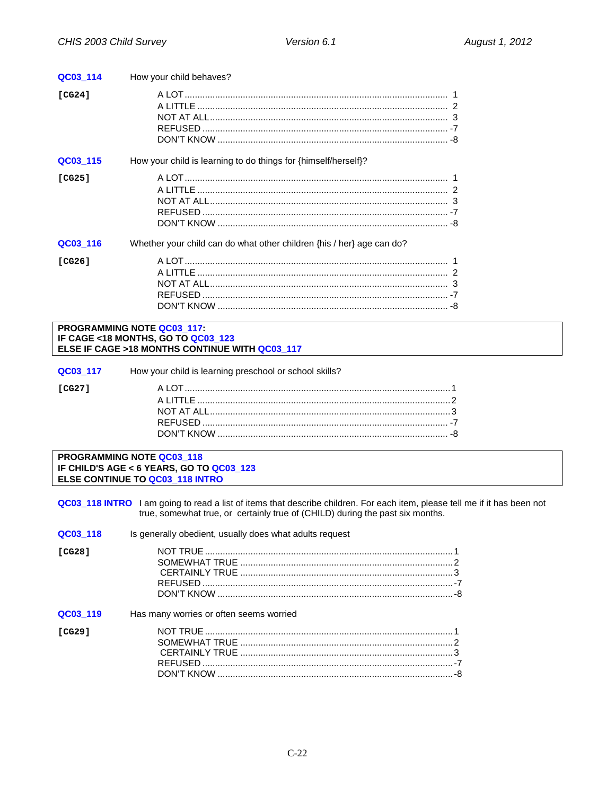| QC03_114 | How your child behaves?                                               |
|----------|-----------------------------------------------------------------------|
| [CG24]   |                                                                       |
| QC03 115 | How your child is learning to do things for {himself/herself}?        |
| [CG25]   |                                                                       |
| QC03_116 | Whether your child can do what other children {his / her} age can do? |
| [CG26]   |                                                                       |

#### PROGRAMMING NOTE QC03 117: IF CAGE <18 MONTHS, GO TO QC03\_123 ELSE IF CAGE >18 MONTHS CONTINUE WITH QC03\_117

| How your child is learning preschool or school skills? |
|--------------------------------------------------------|
|--------------------------------------------------------|

PROGRAMMING NOTE QC03\_118 IF CHILD'S AGE < 6 YEARS, GO TO QC03\_123 ELSE CONTINUE TO QC03\_118 INTRO

 $[CG27]$ 

QC03\_118 INTRO I am going to read a list of items that describe children. For each item, please tell me if it has been not true, somewhat true, or certainly true of (CHILD) during the past six months.

| QC03 118 | Is generally obedient, usually does what adults request |  |
|----------|---------------------------------------------------------|--|
| ICG281   |                                                         |  |
| QC03 119 | Has many worries or often seems worried                 |  |
| ICG291   |                                                         |  |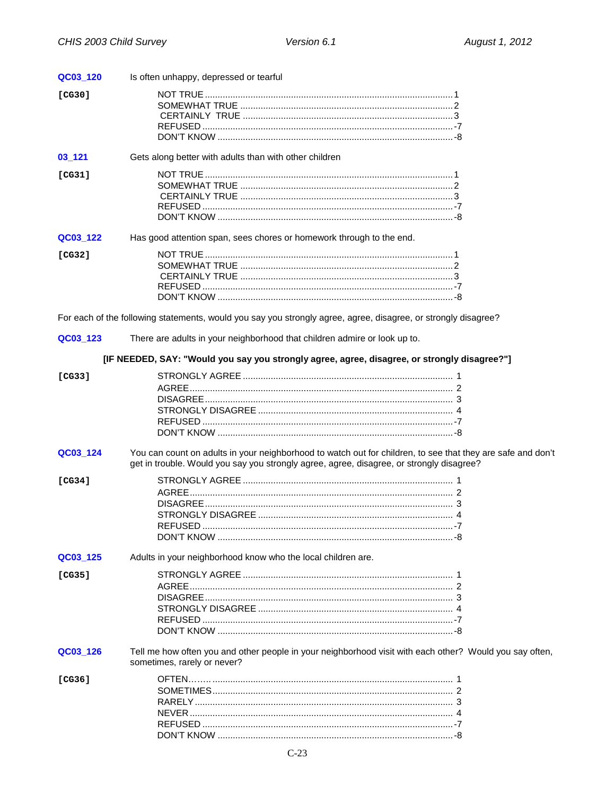| QC03_120 | Is often unhappy, depressed or tearful                                                                                                                                                                  |  |
|----------|---------------------------------------------------------------------------------------------------------------------------------------------------------------------------------------------------------|--|
| [CG30]   |                                                                                                                                                                                                         |  |
|          |                                                                                                                                                                                                         |  |
|          |                                                                                                                                                                                                         |  |
|          |                                                                                                                                                                                                         |  |
|          |                                                                                                                                                                                                         |  |
| 03_121   | Gets along better with adults than with other children                                                                                                                                                  |  |
| [CG31]   |                                                                                                                                                                                                         |  |
|          |                                                                                                                                                                                                         |  |
|          |                                                                                                                                                                                                         |  |
|          |                                                                                                                                                                                                         |  |
|          |                                                                                                                                                                                                         |  |
| QC03_122 | Has good attention span, sees chores or homework through to the end.                                                                                                                                    |  |
|          |                                                                                                                                                                                                         |  |
| [CG32]   |                                                                                                                                                                                                         |  |
|          |                                                                                                                                                                                                         |  |
|          |                                                                                                                                                                                                         |  |
|          |                                                                                                                                                                                                         |  |
|          |                                                                                                                                                                                                         |  |
|          | For each of the following statements, would you say you strongly agree, agree, disagree, or strongly disagree?                                                                                          |  |
| QC03_123 | There are adults in your neighborhood that children admire or look up to.                                                                                                                               |  |
|          | [IF NEEDED, SAY: "Would you say you strongly agree, agree, disagree, or strongly disagree?"]                                                                                                            |  |
| [CG33]   |                                                                                                                                                                                                         |  |
|          |                                                                                                                                                                                                         |  |
|          |                                                                                                                                                                                                         |  |
|          |                                                                                                                                                                                                         |  |
|          |                                                                                                                                                                                                         |  |
|          |                                                                                                                                                                                                         |  |
| QC03_124 | You can count on adults in your neighborhood to watch out for children, to see that they are safe and don't<br>get in trouble. Would you say you strongly agree, agree, disagree, or strongly disagree? |  |
|          |                                                                                                                                                                                                         |  |
| [CG34]   |                                                                                                                                                                                                         |  |
|          |                                                                                                                                                                                                         |  |
|          |                                                                                                                                                                                                         |  |
|          |                                                                                                                                                                                                         |  |
|          |                                                                                                                                                                                                         |  |
|          |                                                                                                                                                                                                         |  |
| QC03_125 | Adults in your neighborhood know who the local children are.                                                                                                                                            |  |
| [CG35]   |                                                                                                                                                                                                         |  |
|          |                                                                                                                                                                                                         |  |
|          |                                                                                                                                                                                                         |  |
|          |                                                                                                                                                                                                         |  |
|          |                                                                                                                                                                                                         |  |
|          |                                                                                                                                                                                                         |  |
| QC03_126 | Tell me how often you and other people in your neighborhood visit with each other? Would you say often,<br>sometimes, rarely or never?                                                                  |  |
| [CG36]   |                                                                                                                                                                                                         |  |
|          |                                                                                                                                                                                                         |  |
|          |                                                                                                                                                                                                         |  |
|          |                                                                                                                                                                                                         |  |
|          |                                                                                                                                                                                                         |  |
|          |                                                                                                                                                                                                         |  |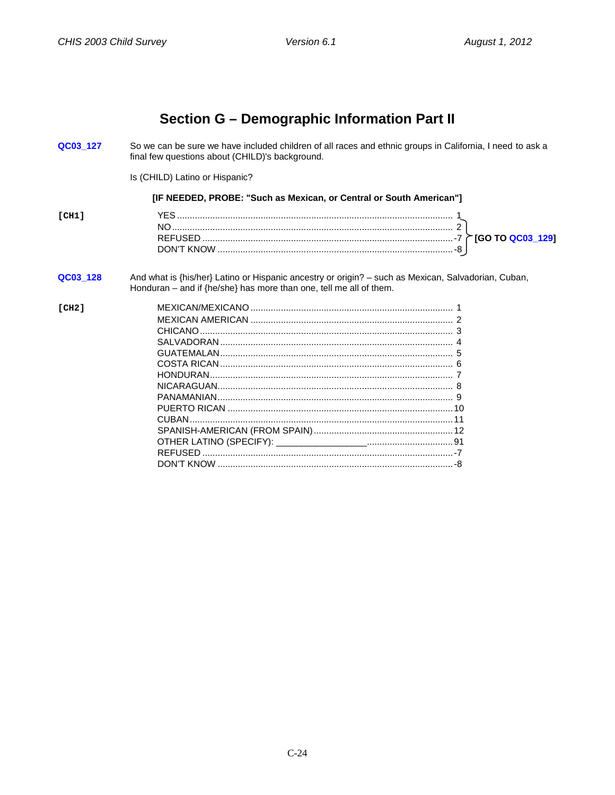## Section G - Demographic Information Part II

<span id="page-25-1"></span><span id="page-25-0"></span>QC03 127 So we can be sure we have included children of all races and ethnic groups in California, I need to ask a final few questions about (CHILD)'s background.

Is (CHILD) Latino or Hispanic?

#### [IF NEEDED, PROBE: "Such as Mexican, or Central or South American"]

| "CH1 |                                   |                  |
|------|-----------------------------------|------------------|
|      | N                                 |                  |
|      | <b>REFUSEF</b><br>$\sim$ $\prime$ | [GO TO QC03_129] |
|      | L KNUW<br>DON'T<br>- 23           |                  |
|      |                                   |                  |

#### QC03\_128 And what is {his/her} Latino or Hispanic ancestry or origin? - such as Mexican, Salvadorian, Cuban, Honduran – and if  ${he/she}$  has more than one, tell me all of them.

#### $ICH21$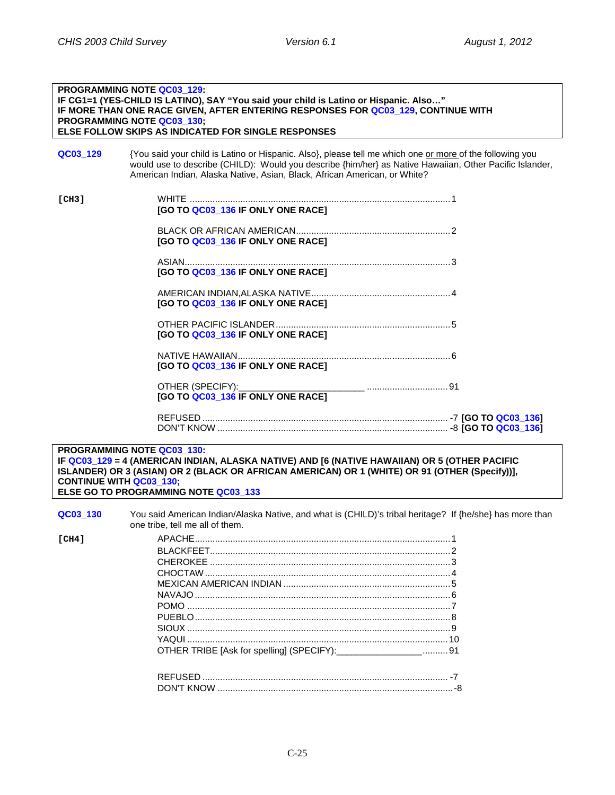## **PROGRAMMING NOTE QC03\_129: IF CG1=1 (YES-CHILD IS LATINO), SAY "You said your child is Latino or Hispanic. Also…" IF MORE THAN ONE RACE GIVEN, AFTER ENTERING RESPONSES FOR QC03\_129, CONTINUE WITH PROGRAMMING NOTE QC03\_130; ELSE FOLLOW SKIPS AS INDICATED FOR SINGLE RESPONSES QC03 129** {You said your child is Latino or Hispanic. Also}, please tell me which one or more of the following you would use to describe (CHILD): Would you describe {him/her} as Native Hawaiian, Other Pacific Islander, American Indian, Alaska Native, Asian, Black, African American, or White? **[CH3]** WHITE .......................................................................................................1 **[GO TO QC03\_136 IF ONLY ONE RACE]** BLACK OR AFRICAN AMERICAN.............................................................2 **[GO TO QC03\_136 IF ONLY ONE RACE]** ASIAN.........................................................................................................3 **[GO TO QC03\_136 IF ONLY ONE RACE]** AMERICAN INDIAN,ALASKA NATIVE.......................................................4 **[GO TO QC03\_136 IF ONLY ONE RACE]** OTHER PACIFIC ISLANDER.....................................................................5 **[GO TO QC03\_136 IF ONLY ONE RACE]** NATIVE HAWAIIAN....................................................................................6 **[GO TO QC03\_136 IF ONLY ONE RACE]** OTHER (SPECIFY):\_\_\_\_\_\_\_\_\_\_\_\_\_\_\_\_\_\_\_\_\_\_\_\_\_ ................................91 **[GO TO QC03\_136 IF ONLY ONE RACE]** REFUSED ................................................................................................. -7 **[GO TO QC03\_136]** DON'T KNOW ........................................................................................... -8 **[GO TO QC03\_136]**

**PROGRAMMING NOTE QC03\_130: IF QC03\_129 = 4 (AMERICAN INDIAN, ALASKA NATIVE) AND [6 (NATIVE HAWAIIAN) OR 5 (OTHER PACIFIC ISLANDER) OR 3 (ASIAN) OR 2 (BLACK OR AFRICAN AMERICAN) OR 1 (WHITE) OR 91 (OTHER (Specify))], CONTINUE WITH QC03\_130; ELSE GO TO PROGRAMMING NOTE QC03\_133**

**QC03 130** You said American Indian/Alaska Native, and what is (CHILD)'s tribal heritage? If {he/she} has more than one tribe, tell me all of them. **[CH4]** APACHE.....................................................................................................1 BLACKFEET...............................................................................................2 CHEROKEE ...............................................................................................3 CHOCTAW.................................................................................................4 MEXICAN AMERICAN INDIAN ..................................................................5 NAVAJO.....................................................................................................6 POMO ........................................................................................................7 PUEBLO.....................................................................................................8 SIOUX ........................................................................................................9 YAQUI .......................................................................................................10 OTHER TRIBE [Ask for spelling] (SPECIFY):\_\_\_\_\_\_\_\_\_\_\_\_\_\_\_\_\_..........91 REFUSED ................................................................................................. -7 DON'T KNOW .............................................................................................-8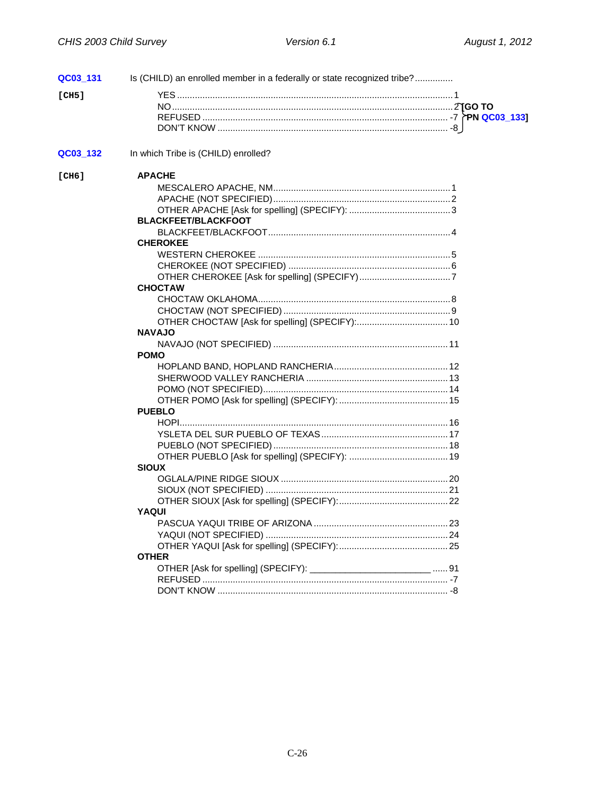| QC03_131 | Is (CHILD) an enrolled member in a federally or state recognized tribe? |  |
|----------|-------------------------------------------------------------------------|--|
| [CH5]    |                                                                         |  |
|          |                                                                         |  |
|          |                                                                         |  |
|          |                                                                         |  |
| QC03_132 | In which Tribe is (CHILD) enrolled?                                     |  |
|          |                                                                         |  |
| [CH6]    | <b>APACHE</b>                                                           |  |
|          |                                                                         |  |
|          |                                                                         |  |
|          |                                                                         |  |
|          | <b>BLACKFEET/BLACKFOOT</b>                                              |  |
|          |                                                                         |  |
|          | <b>CHEROKEE</b>                                                         |  |
|          |                                                                         |  |
|          |                                                                         |  |
|          |                                                                         |  |
|          | <b>CHOCTAW</b>                                                          |  |
|          |                                                                         |  |
|          |                                                                         |  |
|          |                                                                         |  |
|          | <b>NAVAJO</b>                                                           |  |
|          |                                                                         |  |
|          | <b>POMO</b>                                                             |  |
|          |                                                                         |  |
|          |                                                                         |  |
|          |                                                                         |  |
|          |                                                                         |  |
|          | <b>PUEBLO</b>                                                           |  |
|          |                                                                         |  |
|          |                                                                         |  |
|          |                                                                         |  |
|          |                                                                         |  |
|          | <b>SIOUX</b>                                                            |  |
|          |                                                                         |  |
|          |                                                                         |  |
|          |                                                                         |  |
|          | YAQUI                                                                   |  |
|          |                                                                         |  |
|          |                                                                         |  |
|          |                                                                         |  |
|          | <b>OTHER</b>                                                            |  |
|          |                                                                         |  |
|          |                                                                         |  |
|          |                                                                         |  |
|          |                                                                         |  |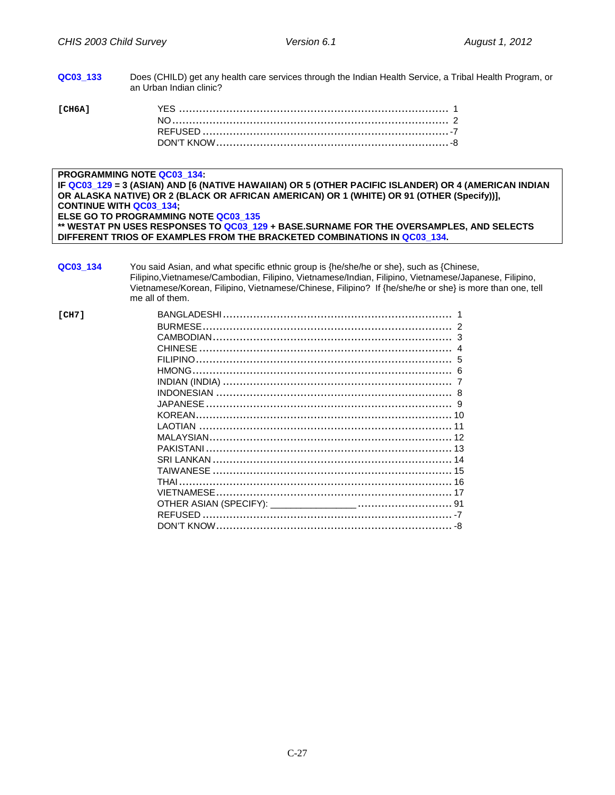**QC03\_133** Does (CHILD) get any health care services through the Indian Health Service, a Tribal Health Program, or an Urban Indian clinic?

| ГСН6А1<br>the company of the company of the company |  |
|-----------------------------------------------------|--|
|                                                     |  |
|                                                     |  |
|                                                     |  |

#### **PROGRAMMING NOTE QC03\_134:**

**IF QC03\_129 = 3 (ASIAN) AND [6 (NATIVE HAWAIIAN) OR 5 (OTHER PACIFIC ISLANDER) OR 4 (AMERICAN INDIAN OR ALASKA NATIVE) OR 2 (BLACK OR AFRICAN AMERICAN) OR 1 (WHITE) OR 91 (OTHER (Specify))], CONTINUE WITH QC03\_134; ELSE GO TO PROGRAMMING NOTE QC03\_135 \*\* WESTAT PN USES RESPONSES TO QC03\_129 + BASE.SURNAME FOR THE OVERSAMPLES, AND SELECTS DIFFERENT TRIOS OF EXAMPLES FROM THE BRACKETED COMBINATIONS IN QC03\_134.**

**QC03\_134** You said Asian, and what specific ethnic group is {he/she/he or she}, such as {Chinese, Filipino,Vietnamese/Cambodian, Filipino, Vietnamese/Indian, Filipino, Vietnamese/Japanese, Filipino, Vietnamese/Korean, Filipino, Vietnamese/Chinese, Filipino? If {he/she/he or she} is more than one, tell me all of them. **[CH7]** BANGLADESHI.................................................................... 1 BURMESE.......................................................................... 2 CAMBODIAN....................................................................... 3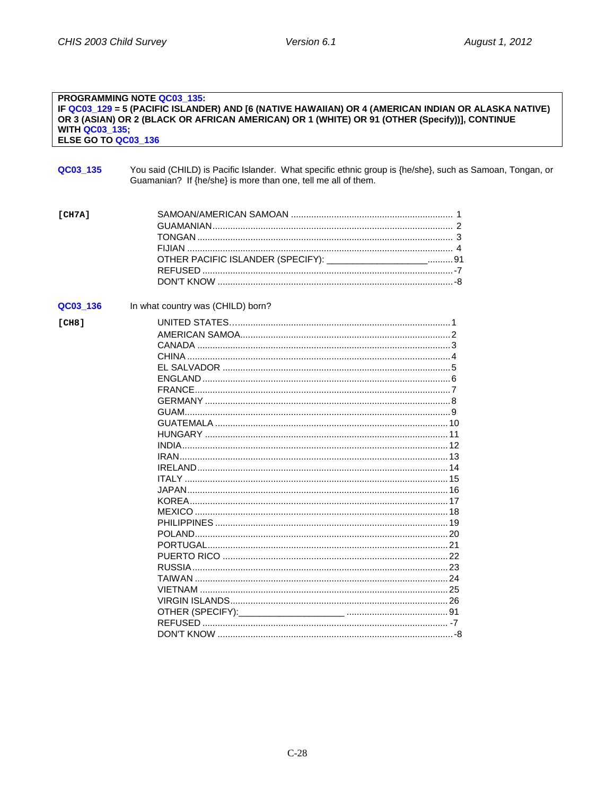#### PROGRAMMING NOTE QC03\_135: IF QC03\_129 = 5 (PACIFIC ISLANDER) AND [6 (NATIVE HAWAIIAN) OR 4 (AMERICAN INDIAN OR ALASKA NATIVE)<br>OR 3 (ASIAN) OR 2 (BLACK OR AFRICAN AMERICAN) OR 1 (WHITE) OR 91 (OTHER (Specify))], CONTINUE **WITH QC03 135:** ELSE GO TO QC03 136

<span id="page-29-0"></span>

| QC03_135 | You said (CHILD) is Pacific Islander. What specific ethnic group is {he/she}, such as Samoan, Tongan, or<br>Guamanian? If {he/she} is more than one, tell me all of them. |
|----------|---------------------------------------------------------------------------------------------------------------------------------------------------------------------------|
| [CH7A]   | OTHER PACIFIC ISLANDER (SPECIFY): _____________________ 91                                                                                                                |
| QC03_136 | In what country was (CHILD) born?                                                                                                                                         |
| [CH8]    |                                                                                                                                                                           |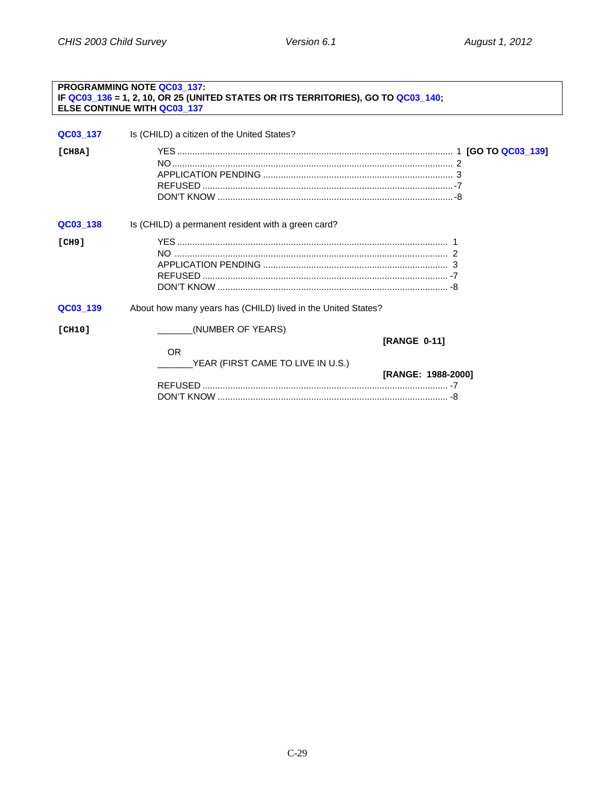#### <span id="page-30-0"></span>PROGRAMMING NOTE QC03 137: IF QC03\_136 = 1, 2, 10, OR 25 (UNITED STATES OR ITS TERRITORIES), GO TO QC03\_140; ELSE CONTINUE WITH QC03\_137 Is (CHILD) a citizen of the United States? QC03\_137  $ICH8A1$ QC03\_138 Is (CHILD) a permanent resident with a green card?  $[CH9]$ QC03\_139 About how many years has (CHILD) lived in the United States? **[CH10]** (NUMBER OF YEARS) [RANGE 0-11] **OR** YEAR (FIRST CAME TO LIVE IN U.S.) **IRANGE: 1988-20001**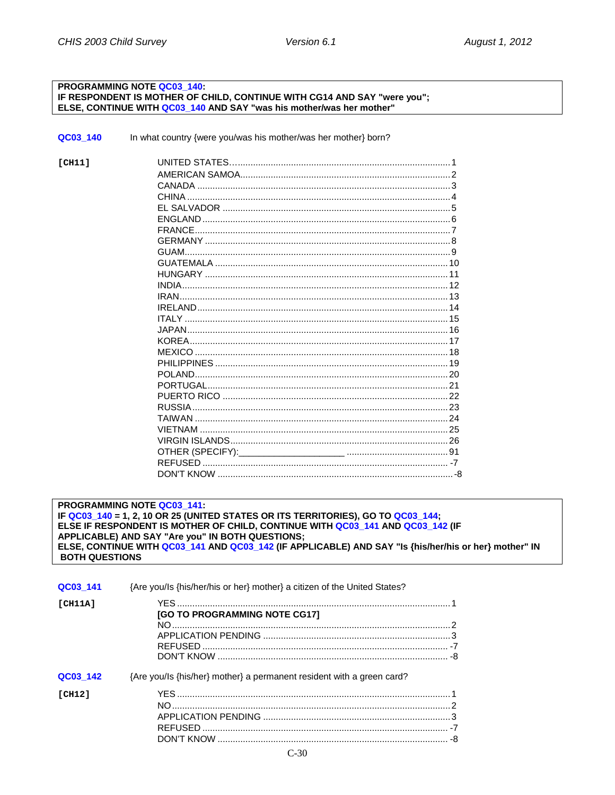#### PROGRAMMING NOTE QC03\_140: IF RESPONDENT IS MOTHER OF CHILD, CONTINUE WITH CG14 AND SAY "were you"; ELSE, CONTINUE WITH QC03\_140 AND SAY "was his mother/was her mother"

QC03\_140 In what country {were you/was his mother/was her mother} born?

| ICH111 |  |
|--------|--|
|        |  |
|        |  |
|        |  |
|        |  |
|        |  |
|        |  |
|        |  |
|        |  |
|        |  |
|        |  |
|        |  |
|        |  |
|        |  |
|        |  |
|        |  |
|        |  |
|        |  |
|        |  |
|        |  |
|        |  |
|        |  |
|        |  |
|        |  |
|        |  |
|        |  |
|        |  |
|        |  |
|        |  |

PROGRAMMING NOTE QC03\_141: IF QC03\_140 = 1, 2, 10 OR 25 (UNITED STATES OR ITS TERRITORIES), GO TO QC03\_144; ELSE IF RESPONDENT IS MOTHER OF CHILD, CONTINUE WITH QC03\_141 AND QC03\_142 (IF APPLICABLE) AND SAY "Are you" IN BOTH QUESTIONS; ELSE, CONTINUE WITH QC03\_141 AND QC03\_142 (IF APPLICABLE) AND SAY "Is {his/her/his or her} mother" IN **BOTH QUESTIONS** 

| QC03 141 | {Are you/ls {his/her/his or her} mother} a citizen of the United States? |  |
|----------|--------------------------------------------------------------------------|--|
| ICH11A1  | <b>[GO TO PROGRAMMING NOTE CG17]</b>                                     |  |
| QC03 142 | {Are you/ls {his/her} mother} a permanent resident with a green card?    |  |
| [CH12]   |                                                                          |  |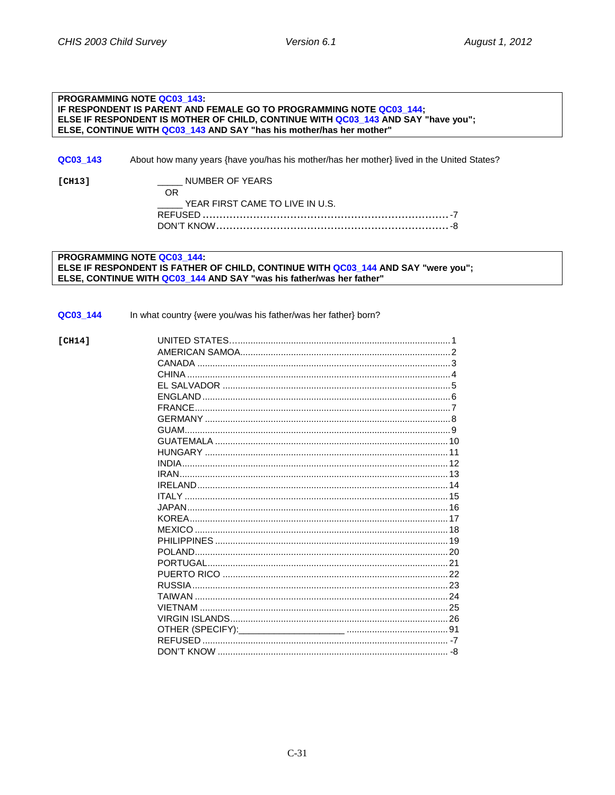#### PROGRAMMING NOTE QC03\_143: IF RESPONDENT IS PARENT AND FEMALE GO TO PROGRAMMING NOTE QC03 144: ELSE IF RESPONDENT IS MOTHER OF CHILD. CONTINUE WITH QC03 143 AND SAY "have you": ELSE. CONTINUE WITH QC03 143 AND SAY "has his mother/has her mother"

About how many years {have you/has his mother/has her mother} lived in the United States? QC03 143

 $ICH131$ 

NUMBER OF YEARS

| ( ) R                                 |  |
|---------------------------------------|--|
| _____ YEAR FIRST CAME TO LIVE IN U.S. |  |
|                                       |  |
|                                       |  |

**PROGRAMMING NOTE QC03 144:** ELSE IF RESPONDENT IS FATHER OF CHILD. CONTINUE WITH QC03 144 AND SAY "were you": ELSE. CONTINUE WITH QC03 144 AND SAY "was his father/was her father"

#### QC03\_144 In what country {were you/was his father/was her father} born?

UNITED STATES AND A RESIDENCE OF A RESIDENCE OF A RESIDENCE OF A RESIDENCE OF A RESIDENCE OF A RESIDENCE OF A  $ICH141$ FI SAI VADOR 5  $\blacksquare$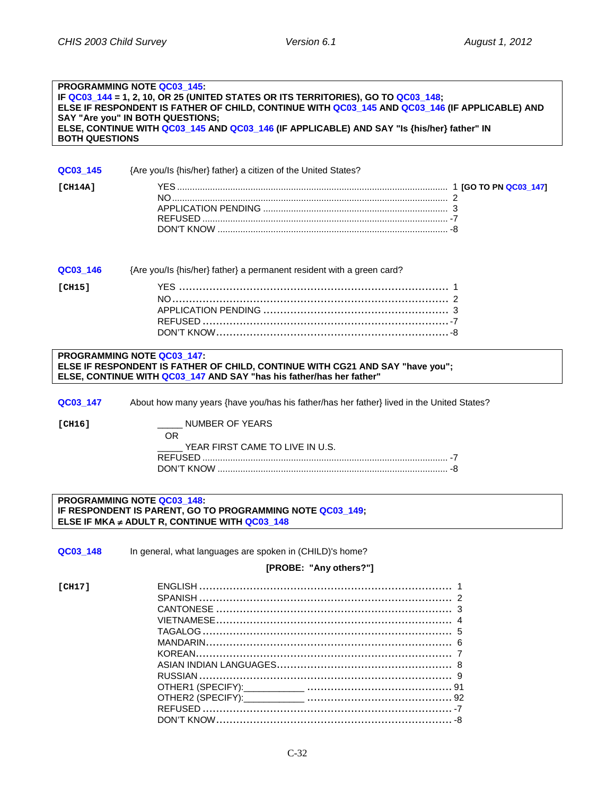#### **PROGRAMMING NOTE QC03\_145: IF QC03\_144 = 1, 2, 10, OR 25 (UNITED STATES OR ITS TERRITORIES), GO TO QC03\_148; ELSE IF RESPONDENT IS FATHER OF CHILD, CONTINUE WITH QC03\_145 AND QC03\_146 (IF APPLICABLE) AND SAY "Are you" IN BOTH QUESTIONS; ELSE, CONTINUE WITH QC03\_145 AND QC03\_146 (IF APPLICABLE) AND SAY "Is {his/her} father" IN BOTH QUESTIONS**

| QC03 145 | {Are you/ls {his/her} father} a citizen of the United States? |  |
|----------|---------------------------------------------------------------|--|
| [CH14A]  |                                                               |  |

|               | <b>QC03 146</b> {Are you/ls {his/her} father} a permanent resident with a green card? |  |
|---------------|---------------------------------------------------------------------------------------|--|
| <b>[CH15]</b> |                                                                                       |  |
|               |                                                                                       |  |
|               |                                                                                       |  |
|               |                                                                                       |  |
|               |                                                                                       |  |
|               |                                                                                       |  |

#### **PROGRAMMING NOTE QC03\_147: ELSE IF RESPONDENT IS FATHER OF CHILD, CONTINUE WITH CG21 AND SAY "have you"; ELSE, CONTINUE WITH QC03\_147 AND SAY "has his father/has her father"**

**QC03\_147** About how many years {have you/has his father/has her father} lived in the United States?

**[CH16]** \_\_\_\_\_ NUMBER OF YEARS OR

YEAR FIRST CAME TO LIVE IN U.S. REFUSED ................................................................................................. -7 DON'T KNOW ........................................................................................... -8

#### **PROGRAMMING NOTE QC03\_148: IF RESPONDENT IS PARENT, GO TO PROGRAMMING NOTE QC03\_149; ELSE IF MKA** ≠ **ADULT R, CONTINUE WITH QC03\_148**

| In general, what languages are spoken in (CHILD)'s home? |  |
|----------------------------------------------------------|--|
| [PROBE: "Any others?"]                                   |  |
|                                                          |  |
|                                                          |  |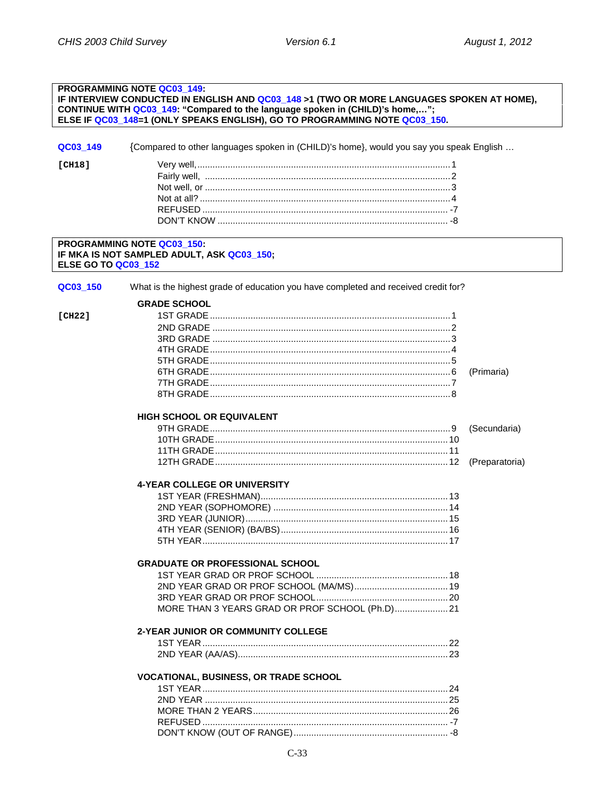#### <span id="page-34-1"></span><span id="page-34-0"></span>**PROGRAMMING NOTE QC03 149:** IF INTERVIEW CONDUCTED IN ENGLISH AND QC03\_148 >1 (TWO OR MORE LANGUAGES SPOKEN AT HOME), CONTINUE WITH QC03\_149: "Compared to the language spoken in (CHILD)'s home,..."; ELSE IF QC03\_148=1 (ONLY SPEAKS ENGLISH), GO TO PROGRAMMING NOTE QC03\_150. QC03\_149 {Compared to other languages spoken in (CHILD)'s home}, would you say you speak English ...  $[CH18]$ PROGRAMMING NOTE QC03 150: IF MKA IS NOT SAMPLED ADULT, ASK QC03\_150; **ELSE GO TO QC03\_152** QC03\_150 What is the highest grade of education you have completed and received credit for? **GRADE SCHOOL**  $[CH22]$ (Primaria) HIGH SCHOOL OR FOUIVAL FNT (Secundaria) 4-YEAR COLLEGE OR UNIVERSITY **GRADUATE OR PROFESSIONAL SCHOOL** MORE THAN 3 YEARS GRAD OR PROF SCHOOL (Ph.D)..................... 21 2-YEAR JUNIOR OR COMMUNITY COLLEGE **VOCATIONAL, BUSINESS, OR TRADE SCHOOL**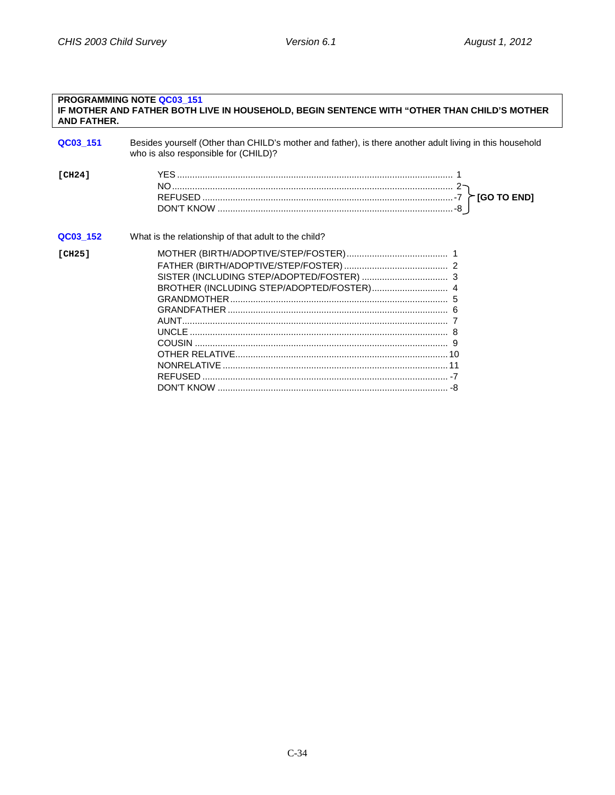| <b>AND FATHER.</b> | <b>PROGRAMMING NOTE QC03 151</b><br>IF MOTHER AND FATHER BOTH LIVE IN HOUSEHOLD, BEGIN SENTENCE WITH "OTHER THAN CHILD'S MOTHER                  |
|--------------------|--------------------------------------------------------------------------------------------------------------------------------------------------|
| QC03_151           | Besides yourself (Other than CHILD's mother and father), is there another adult living in this household<br>who is also responsible for (CHILD)? |
| [CH24]             |                                                                                                                                                  |
| QC03_152           | What is the relationship of that adult to the child?                                                                                             |
| [CH25]             |                                                                                                                                                  |